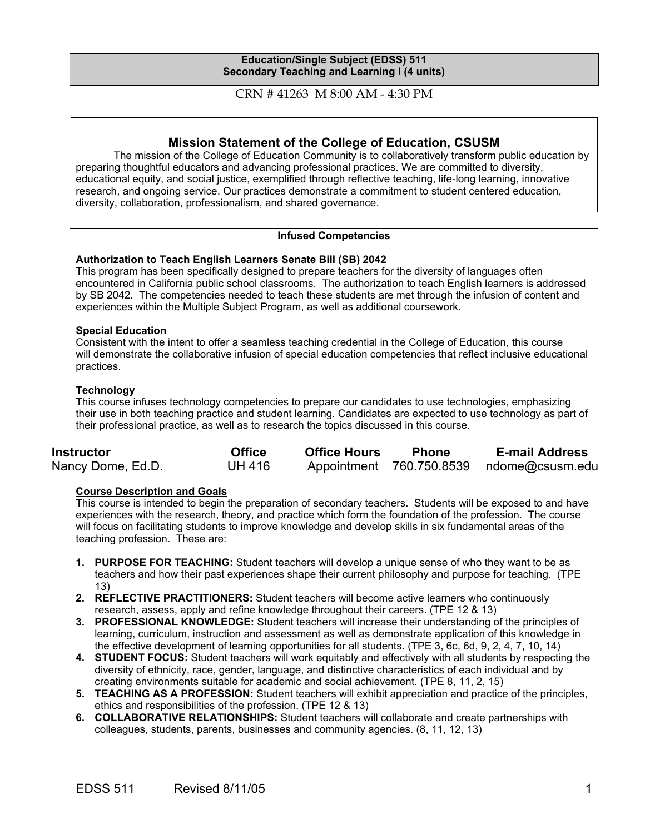## **Education/Single Subject (EDSS) 511 Secondary Teaching and Learning I (4 units)**

CRN # 41263 M 8:00 AM - 4:30 PM

# **Mission Statement of the College of Education, CSUSM**

The mission of the College of Education Community is to collaboratively transform public education by preparing thoughtful educators and advancing professional practices. We are committed to diversity, educational equity, and social justice, exemplified through reflective teaching, life-long learning, innovative research, and ongoing service. Our practices demonstrate a commitment to student centered education, diversity, collaboration, professionalism, and shared governance.

# **Infused Competencies**

### **Authorization to Teach English Learners Senate Bill (SB) 2042**

This program has been specifically designed to prepare teachers for the diversity of languages often encountered in California public school classrooms. The authorization to teach English learners is addressed by SB 2042. The competencies needed to teach these students are met through the infusion of content and experiences within the Multiple Subject Program, as well as additional coursework.

### **Special Education**

Consistent with the intent to offer a seamless teaching credential in the College of Education, this course will demonstrate the collaborative infusion of special education competencies that reflect inclusive educational practices.

### **Technology**

This course infuses technology competencies to prepare our candidates to use technologies, emphasizing their use in both teaching practice and student learning. Candidates are expected to use technology as part of their professional practice, as well as to research the topics discussed in this course.

| <b>Instructor</b> | <b>Office</b> | <b>Office Hours</b> | <b>Phone</b> | <b>E-mail Address</b>                    |
|-------------------|---------------|---------------------|--------------|------------------------------------------|
| Nancy Dome, Ed.D. | <b>UH 416</b> |                     |              | Appointment 760.750.8539 ndome@csusm.edu |

### **Course Description and Goals**

This course is intended to begin the preparation of secondary teachers. Students will be exposed to and have experiences with the research, theory, and practice which form the foundation of the profession. The course will focus on facilitating students to improve knowledge and develop skills in six fundamental areas of the teaching profession. These are:

- **1. PURPOSE FOR TEACHING:** Student teachers will develop a unique sense of who they want to be as teachers and how their past experiences shape their current philosophy and purpose for teaching. (TPE 13)
- **2. REFLECTIVE PRACTITIONERS:** Student teachers will become active learners who continuously research, assess, apply and refine knowledge throughout their careers. (TPE 12 & 13)
- **3. PROFESSIONAL KNOWLEDGE:** Student teachers will increase their understanding of the principles of learning, curriculum, instruction and assessment as well as demonstrate application of this knowledge in the effective development of learning opportunities for all students. (TPE 3, 6c, 6d, 9, 2, 4, 7, 10, 14)
- **4. STUDENT FOCUS:** Student teachers will work equitably and effectively with all students by respecting the diversity of ethnicity, race, gender, language, and distinctive characteristics of each individual and by creating environments suitable for academic and social achievement. (TPE 8, 11, 2, 15)
- **5. TEACHING AS A PROFESSION:** Student teachers will exhibit appreciation and practice of the principles, ethics and responsibilities of the profession. (TPE 12 & 13)
- **6. COLLABORATIVE RELATIONSHIPS:** Student teachers will collaborate and create partnerships with colleagues, students, parents, businesses and community agencies. (8, 11, 12, 13)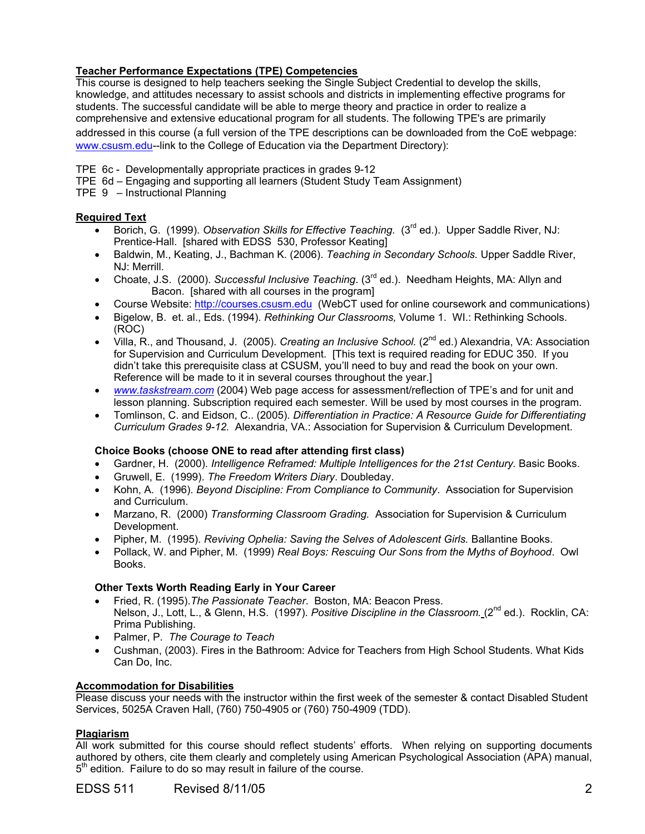# **Teacher Performance Expectations (TPE) Competencies**

This course is designed to help teachers seeking the Single Subject Credential to develop the skills, knowledge, and attitudes necessary to assist schools and districts in implementing effective programs for students. The successful candidate will be able to merge theory and practice in order to realize a comprehensive and extensive educational program for all students. The following TPE's are primarily

addressed in this course (a full version of the TPE descriptions can be downloaded from the CoE webpage: www.csusm.edu--link to the College of Education via the Department Directory):

- TPE 6c Developmentally appropriate practices in grades 9-12
- TPE 6d Engaging and supporting all learners (Student Study Team Assignment)
- TPE 9 Instructional Planning

# **Required Text**

- Borich, G. (1999). *Observation Skills for Effective Teaching.* (3rd ed.). Upper Saddle River, NJ: Prentice-Hall. [shared with EDSS 530, Professor Keating]
- Baldwin, M., Keating, J., Bachman K. (2006). *Teaching in Secondary Schools.* Upper Saddle River, NJ: Merrill.
- Choate, J.S. (2000). *Successful Inclusive Teaching*. (3rd ed.). Needham Heights, MA: Allyn and Bacon. [shared with all courses in the program]
- Course Website: http://courses.csusm.edu (WebCT used for online coursework and communications)
- Bigelow, B. et. al., Eds. (1994). *Rethinking Our Classrooms,* Volume 1. WI.: Rethinking Schools. (ROC)
- Villa, R., and Thousand, J. (2005). *Creating an Inclusive School.* (2<sup>nd</sup> ed.) Alexandria, VA: Association for Supervision and Curriculum Development. [This text is required reading for EDUC 350. If you didn't take this prerequisite class at CSUSM, you'll need to buy and read the book on your own. Reference will be made to it in several courses throughout the year.]
- *www.taskstream.com* (2004) Web page access for assessment/reflection of TPE's and for unit and lesson planning. Subscription required each semester. Will be used by most courses in the program.
- Tomlinson, C. and Eidson, C.. (2005). *Differentiation in Practice: A Resource Guide for Differentiating Curriculum Grades 9-12.* Alexandria, VA.: Association for Supervision & Curriculum Development.

# **Choice Books (choose ONE to read after attending first class)**

- Gardner, H. (2000). *Intelligence Reframed: Multiple Intelligences for the 21st Century.* Basic Books.
- Gruwell, E. (1999). *The Freedom Writers Diary*. Doubleday.
- Kohn, A. (1996). *Beyond Discipline: From Compliance to Community*. Association for Supervision and Curriculum.
- Marzano, R. (2000) *Transforming Classroom Grading.* Association for Supervision & Curriculum Development.
- Pipher, M. (1995). *Reviving Ophelia: Saving the Selves of Adolescent Girls.* Ballantine Books.
- Pollack, W. and Pipher, M. (1999) *Real Boys: Rescuing Our Sons from the Myths of Boyhood*. Owl Books.

# **Other Texts Worth Reading Early in Your Career**

- Fried, R. (1995).*The Passionate Teacher*. Boston, MA: Beacon Press. Nelson, J., Lott, L., & Glenn, H.S. (1997). *Positive Discipline in the Classroom.* (2<sup>nd</sup> ed.). Rocklin, CA: Prima Publishing.
- Palmer, P. *The Courage to Teach*
- Cushman, (2003). Fires in the Bathroom: Advice for Teachers from High School Students. What Kids Can Do, Inc.

# **Accommodation for Disabilities**

Please discuss your needs with the instructor within the first week of the semester & contact Disabled Student Services, 5025A Craven Hall, (760) 750-4905 or (760) 750-4909 (TDD).

# **Plagiarism**

All work submitted for this course should reflect students' efforts. When relying on supporting documents authored by others, cite them clearly and completely using American Psychological Association (APA) manual,  $5<sup>th</sup>$  edition. Failure to do so may result in failure of the course.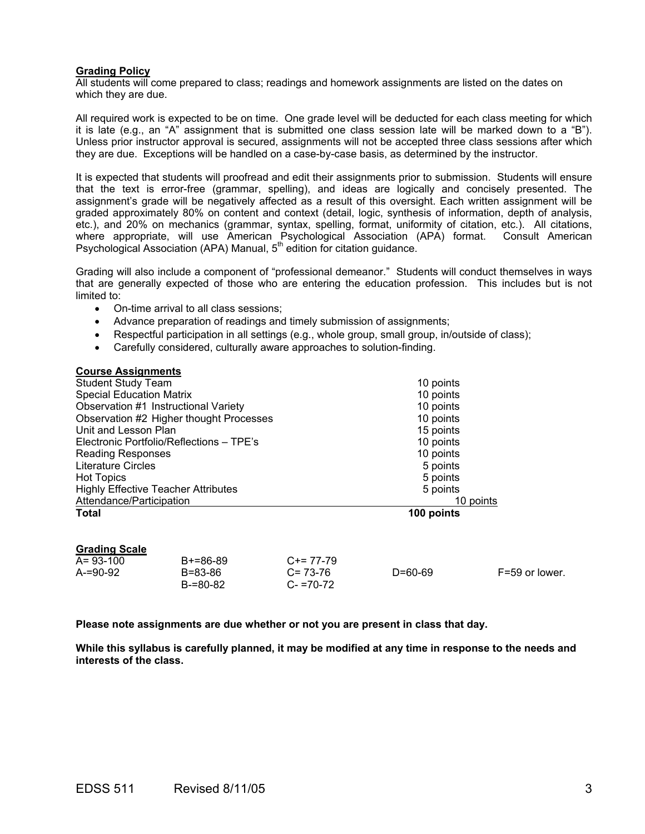### **Grading Policy**

All students will come prepared to class; readings and homework assignments are listed on the dates on which they are due.

All required work is expected to be on time. One grade level will be deducted for each class meeting for which it is late (e.g., an "A" assignment that is submitted one class session late will be marked down to a "B"). Unless prior instructor approval is secured, assignments will not be accepted three class sessions after which they are due. Exceptions will be handled on a case-by-case basis, as determined by the instructor.

It is expected that students will proofread and edit their assignments prior to submission. Students will ensure that the text is error-free (grammar, spelling), and ideas are logically and concisely presented. The assignment's grade will be negatively affected as a result of this oversight. Each written assignment will be graded approximately 80% on content and context (detail, logic, synthesis of information, depth of analysis, etc.), and 20% on mechanics (grammar, syntax, spelling, format, uniformity of citation, etc.). All citations, where appropriate, will use American Psychological Association (APA) format. Consult American Psychological Association (APA) Manual, 5<sup>th</sup> edition for citation guidance.

Grading will also include a component of "professional demeanor." Students will conduct themselves in ways that are generally expected of those who are entering the education profession. This includes but is not limited to:

- On-time arrival to all class sessions;
- Advance preparation of readings and timely submission of assignments;
- Respectful participation in all settings (e.g., whole group, small group, in/outside of class);
- Carefully considered, culturally aware approaches to solution-finding.

| 10 points  |
|------------|
| 10 points  |
| 10 points  |
| 10 points  |
| 15 points  |
| 10 points  |
| 10 points  |
| 5 points   |
| 5 points   |
| 5 points   |
| 10 points  |
| 100 points |
|            |

### **Grading Scale**

| $A = 93 - 100$ | $B+=86-89$          | $C+= 77-79$                  |               |                |
|----------------|---------------------|------------------------------|---------------|----------------|
| $A = 90-92$    | B=83-86<br>B-=80-82 | $C = 73-76$<br>$C - 70 - 72$ | $D = 60 - 69$ | F=59 or lower. |

**Please note assignments are due whether or not you are present in class that day.** 

**While this syllabus is carefully planned, it may be modified at any time in response to the needs and interests of the class.**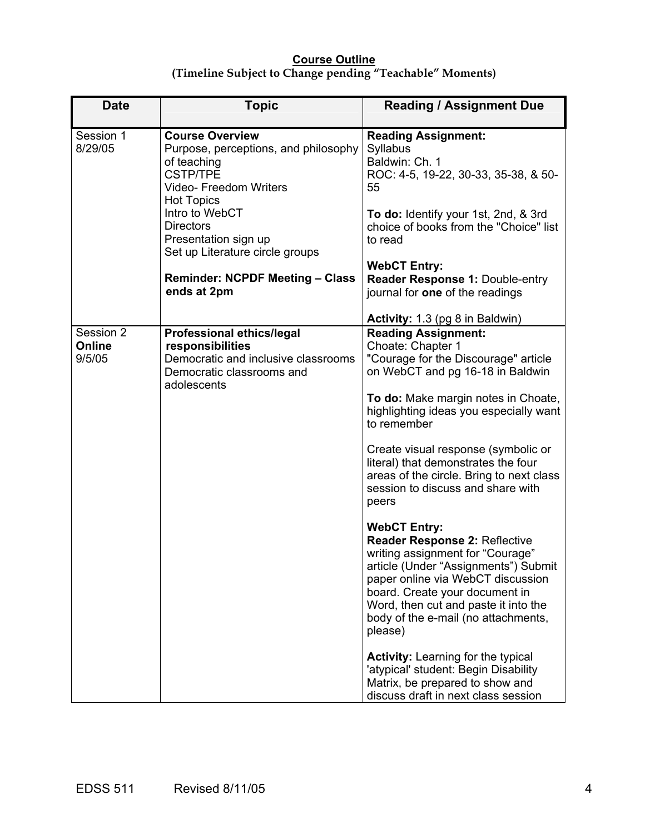# **Course Outline (Timeline Subject to Change pending "Teachable" Moments)**

| <b>Date</b>                   | <b>Topic</b>                                                                                                                                                                                                                                            | <b>Reading / Assignment Due</b>                                                                                                                                                                                                                                                                                                                                                                                                                                  |
|-------------------------------|---------------------------------------------------------------------------------------------------------------------------------------------------------------------------------------------------------------------------------------------------------|------------------------------------------------------------------------------------------------------------------------------------------------------------------------------------------------------------------------------------------------------------------------------------------------------------------------------------------------------------------------------------------------------------------------------------------------------------------|
| Session 1<br>8/29/05          | <b>Course Overview</b><br>Purpose, perceptions, and philosophy<br>of teaching<br><b>CSTP/TPE</b><br><b>Video- Freedom Writers</b><br><b>Hot Topics</b><br>Intro to WebCT<br><b>Directors</b><br>Presentation sign up<br>Set up Literature circle groups | <b>Reading Assignment:</b><br>Syllabus<br>Baldwin: Ch. 1<br>ROC: 4-5, 19-22, 30-33, 35-38, & 50-<br>55<br>To do: Identify your 1st, 2nd, & 3rd<br>choice of books from the "Choice" list<br>to read                                                                                                                                                                                                                                                              |
|                               | <b>Reminder: NCPDF Meeting - Class</b><br>ends at 2pm                                                                                                                                                                                                   | <b>WebCT Entry:</b><br>Reader Response 1: Double-entry<br>journal for one of the readings                                                                                                                                                                                                                                                                                                                                                                        |
|                               |                                                                                                                                                                                                                                                         | <b>Activity: 1.3 (pg 8 in Baldwin)</b>                                                                                                                                                                                                                                                                                                                                                                                                                           |
| Session 2<br>Online<br>9/5/05 | <b>Professional ethics/legal</b><br>responsibilities<br>Democratic and inclusive classrooms<br>Democratic classrooms and<br>adolescents                                                                                                                 | <b>Reading Assignment:</b><br>Choate: Chapter 1<br>"Courage for the Discourage" article<br>on WebCT and pg 16-18 in Baldwin<br>To do: Make margin notes in Choate,<br>highlighting ideas you especially want<br>to remember<br>Create visual response (symbolic or<br>literal) that demonstrates the four<br>areas of the circle. Bring to next class<br>session to discuss and share with<br>peers                                                              |
|                               |                                                                                                                                                                                                                                                         | <b>WebCT Entry:</b><br>Reader Response 2: Reflective<br>writing assignment for "Courage"<br>article (Under "Assignments") Submit<br>paper online via WebCT discussion<br>board. Create your document in<br>Word, then cut and paste it into the<br>body of the e-mail (no attachments,<br>please)<br><b>Activity:</b> Learning for the typical<br>'atypical' student: Begin Disability<br>Matrix, be prepared to show and<br>discuss draft in next class session |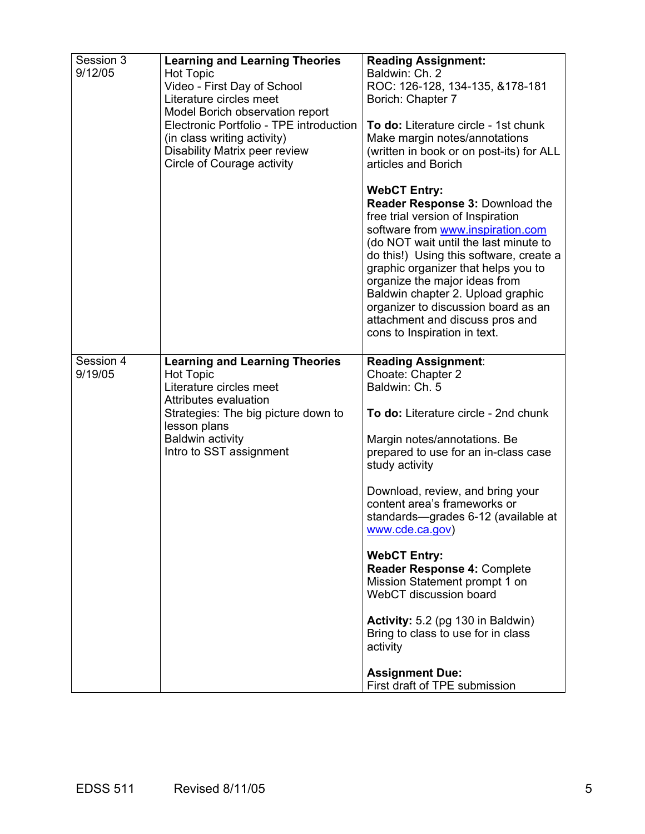| Session 3<br>9/12/05 | <b>Learning and Learning Theories</b><br><b>Hot Topic</b><br>Video - First Day of School<br>Literature circles meet<br>Model Borich observation report<br>Electronic Portfolio - TPE introduction<br>(in class writing activity)<br>Disability Matrix peer review<br>Circle of Courage activity | <b>Reading Assignment:</b><br>Baldwin: Ch. 2<br>ROC: 126-128, 134-135, &178-181<br>Borich: Chapter 7<br>To do: Literature circle - 1st chunk<br>Make margin notes/annotations<br>(written in book or on post-its) for ALL<br>articles and Borich                                                                                                                                                                                                                                                                                                                                                     |
|----------------------|-------------------------------------------------------------------------------------------------------------------------------------------------------------------------------------------------------------------------------------------------------------------------------------------------|------------------------------------------------------------------------------------------------------------------------------------------------------------------------------------------------------------------------------------------------------------------------------------------------------------------------------------------------------------------------------------------------------------------------------------------------------------------------------------------------------------------------------------------------------------------------------------------------------|
|                      |                                                                                                                                                                                                                                                                                                 | <b>WebCT Entry:</b><br>Reader Response 3: Download the<br>free trial version of Inspiration<br>software from www.inspiration.com<br>(do NOT wait until the last minute to<br>do this!) Using this software, create a<br>graphic organizer that helps you to<br>organize the major ideas from<br>Baldwin chapter 2. Upload graphic<br>organizer to discussion board as an<br>attachment and discuss pros and<br>cons to Inspiration in text.                                                                                                                                                          |
| Session 4<br>9/19/05 | <b>Learning and Learning Theories</b><br><b>Hot Topic</b><br>Literature circles meet<br>Attributes evaluation<br>Strategies: The big picture down to<br>lesson plans<br><b>Baldwin activity</b><br>Intro to SST assignment                                                                      | <b>Reading Assignment:</b><br>Choate: Chapter 2<br>Baldwin: Ch. 5<br>To do: Literature circle - 2nd chunk<br>Margin notes/annotations. Be<br>prepared to use for an in-class case<br>study activity<br>Download, review, and bring your<br>content area's frameworks or<br>standards-grades 6-12 (available at<br>www.cde.ca.gov)<br><b>WebCT Entry:</b><br>Reader Response 4: Complete<br>Mission Statement prompt 1 on<br>WebCT discussion board<br>Activity: 5.2 (pg 130 in Baldwin)<br>Bring to class to use for in class<br>activity<br><b>Assignment Due:</b><br>First draft of TPE submission |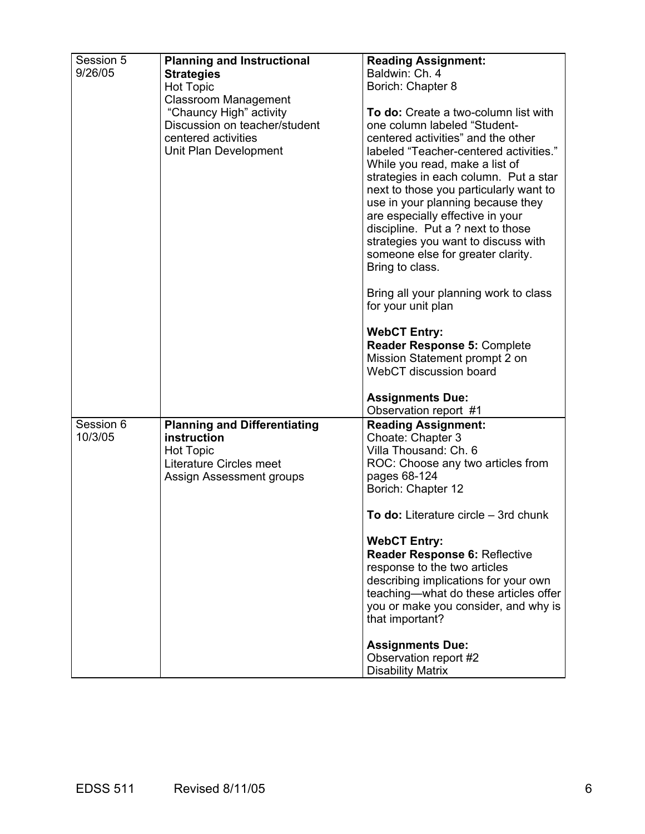| Session 5 | <b>Planning and Instructional</b>   | <b>Reading Assignment:</b>                                  |
|-----------|-------------------------------------|-------------------------------------------------------------|
| 9/26/05   |                                     | Baldwin: Ch. 4                                              |
|           | <b>Strategies</b>                   |                                                             |
|           | <b>Hot Topic</b>                    | Borich: Chapter 8                                           |
|           | <b>Classroom Management</b>         |                                                             |
|           | "Chauncy High" activity             | To do: Create a two-column list with                        |
|           | Discussion on teacher/student       | one column labeled "Student-                                |
|           | centered activities                 | centered activities" and the other                          |
|           | Unit Plan Development               | labeled "Teacher-centered activities."                      |
|           |                                     | While you read, make a list of                              |
|           |                                     | strategies in each column. Put a star                       |
|           |                                     | next to those you particularly want to                      |
|           |                                     | use in your planning because they                           |
|           |                                     | are especially effective in your                            |
|           |                                     | discipline. Put a ? next to those                           |
|           |                                     | strategies you want to discuss with                         |
|           |                                     | someone else for greater clarity.                           |
|           |                                     | Bring to class.                                             |
|           |                                     |                                                             |
|           |                                     | Bring all your planning work to class<br>for your unit plan |
|           |                                     |                                                             |
|           |                                     | <b>WebCT Entry:</b>                                         |
|           |                                     | Reader Response 5: Complete                                 |
|           |                                     | Mission Statement prompt 2 on                               |
|           |                                     | WebCT discussion board                                      |
|           |                                     |                                                             |
|           |                                     | <b>Assignments Due:</b>                                     |
|           |                                     | Observation report #1                                       |
| Session 6 | <b>Planning and Differentiating</b> | <b>Reading Assignment:</b>                                  |
| 10/3/05   | instruction                         | Choate: Chapter 3                                           |
|           | <b>Hot Topic</b>                    | Villa Thousand: Ch. 6                                       |
|           | Literature Circles meet             | ROC: Choose any two articles from                           |
|           | Assign Assessment groups            | pages 68-124                                                |
|           |                                     | Borich: Chapter 12                                          |
|           |                                     | To do: Literature circle – 3rd chunk                        |
|           |                                     | <b>WebCT Entry:</b>                                         |
|           |                                     | Reader Response 6: Reflective                               |
|           |                                     | response to the two articles                                |
|           |                                     | describing implications for your own                        |
|           |                                     | teaching-what do these articles offer                       |
|           |                                     | you or make you consider, and why is                        |
|           |                                     | that important?                                             |
|           |                                     |                                                             |
|           |                                     | <b>Assignments Due:</b>                                     |
|           |                                     | Observation report #2                                       |
|           |                                     | <b>Disability Matrix</b>                                    |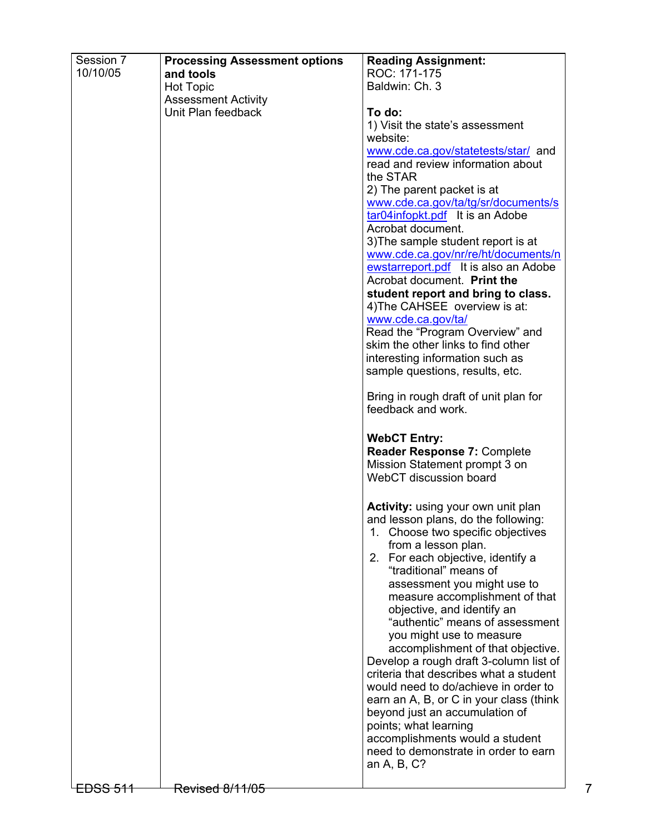| ROC: 171-175<br>10/10/05<br>and tools<br>Baldwin: Ch. 3<br><b>Hot Topic</b><br><b>Assessment Activity</b><br>Unit Plan feedback<br>To do:<br>1) Visit the state's assessment<br>website:<br>www.cde.ca.gov/statetests/star/ and<br>read and review information about<br>the STAR<br>2) The parent packet is at<br>www.cde.ca.gov/ta/tg/sr/documents/s<br>tar04infopkt.pdf It is an Adobe<br>Acrobat document.<br>3) The sample student report is at<br>www.cde.ca.gov/nr/re/ht/documents/n<br>ewstarreport.pdf It is also an Adobe<br>Acrobat document. Print the<br>student report and bring to class.<br>4) The CAHSEE overview is at:<br>www.cde.ca.gov/ta/<br>Read the "Program Overview" and<br>skim the other links to find other<br>interesting information such as<br>sample questions, results, etc.<br>Bring in rough draft of unit plan for<br>feedback and work.<br><b>WebCT Entry:</b><br>Reader Response 7: Complete<br>Mission Statement prompt 3 on<br>WebCT discussion board<br>Activity: using your own unit plan<br>and lesson plans, do the following:<br>1. Choose two specific objectives<br>from a lesson plan.<br>2. For each objective, identify a<br>"traditional" means of<br>assessment you might use to<br>measure accomplishment of that<br>objective, and identify an<br>"authentic" means of assessment<br>you might use to measure<br>accomplishment of that objective.<br>Develop a rough draft 3-column list of<br>criteria that describes what a student<br>would need to do/achieve in order to<br>earn an A, B, or C in your class (think<br>beyond just an accumulation of<br>points; what learning<br>accomplishments would a student<br>need to demonstrate in order to earn<br>an A, B, C?<br>Revised 8/11/05<br><del>LDSS 511</del> | Session 7 | <b>Processing Assessment options</b> | <b>Reading Assignment:</b> |
|--------------------------------------------------------------------------------------------------------------------------------------------------------------------------------------------------------------------------------------------------------------------------------------------------------------------------------------------------------------------------------------------------------------------------------------------------------------------------------------------------------------------------------------------------------------------------------------------------------------------------------------------------------------------------------------------------------------------------------------------------------------------------------------------------------------------------------------------------------------------------------------------------------------------------------------------------------------------------------------------------------------------------------------------------------------------------------------------------------------------------------------------------------------------------------------------------------------------------------------------------------------------------------------------------------------------------------------------------------------------------------------------------------------------------------------------------------------------------------------------------------------------------------------------------------------------------------------------------------------------------------------------------------------------------------------------------------------------------------------------------------------------------------|-----------|--------------------------------------|----------------------------|
|                                                                                                                                                                                                                                                                                                                                                                                                                                                                                                                                                                                                                                                                                                                                                                                                                                                                                                                                                                                                                                                                                                                                                                                                                                                                                                                                                                                                                                                                                                                                                                                                                                                                                                                                                                                |           |                                      |                            |
|                                                                                                                                                                                                                                                                                                                                                                                                                                                                                                                                                                                                                                                                                                                                                                                                                                                                                                                                                                                                                                                                                                                                                                                                                                                                                                                                                                                                                                                                                                                                                                                                                                                                                                                                                                                |           |                                      |                            |
|                                                                                                                                                                                                                                                                                                                                                                                                                                                                                                                                                                                                                                                                                                                                                                                                                                                                                                                                                                                                                                                                                                                                                                                                                                                                                                                                                                                                                                                                                                                                                                                                                                                                                                                                                                                |           |                                      |                            |
|                                                                                                                                                                                                                                                                                                                                                                                                                                                                                                                                                                                                                                                                                                                                                                                                                                                                                                                                                                                                                                                                                                                                                                                                                                                                                                                                                                                                                                                                                                                                                                                                                                                                                                                                                                                |           |                                      |                            |
|                                                                                                                                                                                                                                                                                                                                                                                                                                                                                                                                                                                                                                                                                                                                                                                                                                                                                                                                                                                                                                                                                                                                                                                                                                                                                                                                                                                                                                                                                                                                                                                                                                                                                                                                                                                |           |                                      |                            |
|                                                                                                                                                                                                                                                                                                                                                                                                                                                                                                                                                                                                                                                                                                                                                                                                                                                                                                                                                                                                                                                                                                                                                                                                                                                                                                                                                                                                                                                                                                                                                                                                                                                                                                                                                                                |           |                                      |                            |
|                                                                                                                                                                                                                                                                                                                                                                                                                                                                                                                                                                                                                                                                                                                                                                                                                                                                                                                                                                                                                                                                                                                                                                                                                                                                                                                                                                                                                                                                                                                                                                                                                                                                                                                                                                                |           |                                      |                            |
|                                                                                                                                                                                                                                                                                                                                                                                                                                                                                                                                                                                                                                                                                                                                                                                                                                                                                                                                                                                                                                                                                                                                                                                                                                                                                                                                                                                                                                                                                                                                                                                                                                                                                                                                                                                |           |                                      |                            |
|                                                                                                                                                                                                                                                                                                                                                                                                                                                                                                                                                                                                                                                                                                                                                                                                                                                                                                                                                                                                                                                                                                                                                                                                                                                                                                                                                                                                                                                                                                                                                                                                                                                                                                                                                                                |           |                                      |                            |
|                                                                                                                                                                                                                                                                                                                                                                                                                                                                                                                                                                                                                                                                                                                                                                                                                                                                                                                                                                                                                                                                                                                                                                                                                                                                                                                                                                                                                                                                                                                                                                                                                                                                                                                                                                                |           |                                      |                            |
|                                                                                                                                                                                                                                                                                                                                                                                                                                                                                                                                                                                                                                                                                                                                                                                                                                                                                                                                                                                                                                                                                                                                                                                                                                                                                                                                                                                                                                                                                                                                                                                                                                                                                                                                                                                |           |                                      |                            |
|                                                                                                                                                                                                                                                                                                                                                                                                                                                                                                                                                                                                                                                                                                                                                                                                                                                                                                                                                                                                                                                                                                                                                                                                                                                                                                                                                                                                                                                                                                                                                                                                                                                                                                                                                                                |           |                                      |                            |
|                                                                                                                                                                                                                                                                                                                                                                                                                                                                                                                                                                                                                                                                                                                                                                                                                                                                                                                                                                                                                                                                                                                                                                                                                                                                                                                                                                                                                                                                                                                                                                                                                                                                                                                                                                                |           |                                      |                            |
|                                                                                                                                                                                                                                                                                                                                                                                                                                                                                                                                                                                                                                                                                                                                                                                                                                                                                                                                                                                                                                                                                                                                                                                                                                                                                                                                                                                                                                                                                                                                                                                                                                                                                                                                                                                |           |                                      |                            |
|                                                                                                                                                                                                                                                                                                                                                                                                                                                                                                                                                                                                                                                                                                                                                                                                                                                                                                                                                                                                                                                                                                                                                                                                                                                                                                                                                                                                                                                                                                                                                                                                                                                                                                                                                                                |           |                                      |                            |
|                                                                                                                                                                                                                                                                                                                                                                                                                                                                                                                                                                                                                                                                                                                                                                                                                                                                                                                                                                                                                                                                                                                                                                                                                                                                                                                                                                                                                                                                                                                                                                                                                                                                                                                                                                                |           |                                      |                            |
|                                                                                                                                                                                                                                                                                                                                                                                                                                                                                                                                                                                                                                                                                                                                                                                                                                                                                                                                                                                                                                                                                                                                                                                                                                                                                                                                                                                                                                                                                                                                                                                                                                                                                                                                                                                |           |                                      |                            |
|                                                                                                                                                                                                                                                                                                                                                                                                                                                                                                                                                                                                                                                                                                                                                                                                                                                                                                                                                                                                                                                                                                                                                                                                                                                                                                                                                                                                                                                                                                                                                                                                                                                                                                                                                                                |           |                                      |                            |
|                                                                                                                                                                                                                                                                                                                                                                                                                                                                                                                                                                                                                                                                                                                                                                                                                                                                                                                                                                                                                                                                                                                                                                                                                                                                                                                                                                                                                                                                                                                                                                                                                                                                                                                                                                                |           |                                      |                            |
|                                                                                                                                                                                                                                                                                                                                                                                                                                                                                                                                                                                                                                                                                                                                                                                                                                                                                                                                                                                                                                                                                                                                                                                                                                                                                                                                                                                                                                                                                                                                                                                                                                                                                                                                                                                |           |                                      |                            |
|                                                                                                                                                                                                                                                                                                                                                                                                                                                                                                                                                                                                                                                                                                                                                                                                                                                                                                                                                                                                                                                                                                                                                                                                                                                                                                                                                                                                                                                                                                                                                                                                                                                                                                                                                                                |           |                                      |                            |
|                                                                                                                                                                                                                                                                                                                                                                                                                                                                                                                                                                                                                                                                                                                                                                                                                                                                                                                                                                                                                                                                                                                                                                                                                                                                                                                                                                                                                                                                                                                                                                                                                                                                                                                                                                                |           |                                      |                            |
|                                                                                                                                                                                                                                                                                                                                                                                                                                                                                                                                                                                                                                                                                                                                                                                                                                                                                                                                                                                                                                                                                                                                                                                                                                                                                                                                                                                                                                                                                                                                                                                                                                                                                                                                                                                |           |                                      |                            |
|                                                                                                                                                                                                                                                                                                                                                                                                                                                                                                                                                                                                                                                                                                                                                                                                                                                                                                                                                                                                                                                                                                                                                                                                                                                                                                                                                                                                                                                                                                                                                                                                                                                                                                                                                                                |           |                                      |                            |
|                                                                                                                                                                                                                                                                                                                                                                                                                                                                                                                                                                                                                                                                                                                                                                                                                                                                                                                                                                                                                                                                                                                                                                                                                                                                                                                                                                                                                                                                                                                                                                                                                                                                                                                                                                                |           |                                      |                            |
|                                                                                                                                                                                                                                                                                                                                                                                                                                                                                                                                                                                                                                                                                                                                                                                                                                                                                                                                                                                                                                                                                                                                                                                                                                                                                                                                                                                                                                                                                                                                                                                                                                                                                                                                                                                |           |                                      |                            |
|                                                                                                                                                                                                                                                                                                                                                                                                                                                                                                                                                                                                                                                                                                                                                                                                                                                                                                                                                                                                                                                                                                                                                                                                                                                                                                                                                                                                                                                                                                                                                                                                                                                                                                                                                                                |           |                                      |                            |
|                                                                                                                                                                                                                                                                                                                                                                                                                                                                                                                                                                                                                                                                                                                                                                                                                                                                                                                                                                                                                                                                                                                                                                                                                                                                                                                                                                                                                                                                                                                                                                                                                                                                                                                                                                                |           |                                      |                            |
|                                                                                                                                                                                                                                                                                                                                                                                                                                                                                                                                                                                                                                                                                                                                                                                                                                                                                                                                                                                                                                                                                                                                                                                                                                                                                                                                                                                                                                                                                                                                                                                                                                                                                                                                                                                |           |                                      |                            |
|                                                                                                                                                                                                                                                                                                                                                                                                                                                                                                                                                                                                                                                                                                                                                                                                                                                                                                                                                                                                                                                                                                                                                                                                                                                                                                                                                                                                                                                                                                                                                                                                                                                                                                                                                                                |           |                                      |                            |
|                                                                                                                                                                                                                                                                                                                                                                                                                                                                                                                                                                                                                                                                                                                                                                                                                                                                                                                                                                                                                                                                                                                                                                                                                                                                                                                                                                                                                                                                                                                                                                                                                                                                                                                                                                                |           |                                      |                            |
|                                                                                                                                                                                                                                                                                                                                                                                                                                                                                                                                                                                                                                                                                                                                                                                                                                                                                                                                                                                                                                                                                                                                                                                                                                                                                                                                                                                                                                                                                                                                                                                                                                                                                                                                                                                |           |                                      |                            |
|                                                                                                                                                                                                                                                                                                                                                                                                                                                                                                                                                                                                                                                                                                                                                                                                                                                                                                                                                                                                                                                                                                                                                                                                                                                                                                                                                                                                                                                                                                                                                                                                                                                                                                                                                                                |           |                                      |                            |
|                                                                                                                                                                                                                                                                                                                                                                                                                                                                                                                                                                                                                                                                                                                                                                                                                                                                                                                                                                                                                                                                                                                                                                                                                                                                                                                                                                                                                                                                                                                                                                                                                                                                                                                                                                                |           |                                      |                            |
|                                                                                                                                                                                                                                                                                                                                                                                                                                                                                                                                                                                                                                                                                                                                                                                                                                                                                                                                                                                                                                                                                                                                                                                                                                                                                                                                                                                                                                                                                                                                                                                                                                                                                                                                                                                |           |                                      |                            |
|                                                                                                                                                                                                                                                                                                                                                                                                                                                                                                                                                                                                                                                                                                                                                                                                                                                                                                                                                                                                                                                                                                                                                                                                                                                                                                                                                                                                                                                                                                                                                                                                                                                                                                                                                                                |           |                                      |                            |
|                                                                                                                                                                                                                                                                                                                                                                                                                                                                                                                                                                                                                                                                                                                                                                                                                                                                                                                                                                                                                                                                                                                                                                                                                                                                                                                                                                                                                                                                                                                                                                                                                                                                                                                                                                                |           |                                      |                            |
|                                                                                                                                                                                                                                                                                                                                                                                                                                                                                                                                                                                                                                                                                                                                                                                                                                                                                                                                                                                                                                                                                                                                                                                                                                                                                                                                                                                                                                                                                                                                                                                                                                                                                                                                                                                |           |                                      |                            |
|                                                                                                                                                                                                                                                                                                                                                                                                                                                                                                                                                                                                                                                                                                                                                                                                                                                                                                                                                                                                                                                                                                                                                                                                                                                                                                                                                                                                                                                                                                                                                                                                                                                                                                                                                                                |           |                                      |                            |
|                                                                                                                                                                                                                                                                                                                                                                                                                                                                                                                                                                                                                                                                                                                                                                                                                                                                                                                                                                                                                                                                                                                                                                                                                                                                                                                                                                                                                                                                                                                                                                                                                                                                                                                                                                                |           |                                      |                            |
|                                                                                                                                                                                                                                                                                                                                                                                                                                                                                                                                                                                                                                                                                                                                                                                                                                                                                                                                                                                                                                                                                                                                                                                                                                                                                                                                                                                                                                                                                                                                                                                                                                                                                                                                                                                |           |                                      |                            |
|                                                                                                                                                                                                                                                                                                                                                                                                                                                                                                                                                                                                                                                                                                                                                                                                                                                                                                                                                                                                                                                                                                                                                                                                                                                                                                                                                                                                                                                                                                                                                                                                                                                                                                                                                                                |           |                                      |                            |
|                                                                                                                                                                                                                                                                                                                                                                                                                                                                                                                                                                                                                                                                                                                                                                                                                                                                                                                                                                                                                                                                                                                                                                                                                                                                                                                                                                                                                                                                                                                                                                                                                                                                                                                                                                                |           |                                      |                            |
|                                                                                                                                                                                                                                                                                                                                                                                                                                                                                                                                                                                                                                                                                                                                                                                                                                                                                                                                                                                                                                                                                                                                                                                                                                                                                                                                                                                                                                                                                                                                                                                                                                                                                                                                                                                |           |                                      |                            |
|                                                                                                                                                                                                                                                                                                                                                                                                                                                                                                                                                                                                                                                                                                                                                                                                                                                                                                                                                                                                                                                                                                                                                                                                                                                                                                                                                                                                                                                                                                                                                                                                                                                                                                                                                                                |           |                                      |                            |
|                                                                                                                                                                                                                                                                                                                                                                                                                                                                                                                                                                                                                                                                                                                                                                                                                                                                                                                                                                                                                                                                                                                                                                                                                                                                                                                                                                                                                                                                                                                                                                                                                                                                                                                                                                                |           |                                      |                            |
|                                                                                                                                                                                                                                                                                                                                                                                                                                                                                                                                                                                                                                                                                                                                                                                                                                                                                                                                                                                                                                                                                                                                                                                                                                                                                                                                                                                                                                                                                                                                                                                                                                                                                                                                                                                |           |                                      |                            |
|                                                                                                                                                                                                                                                                                                                                                                                                                                                                                                                                                                                                                                                                                                                                                                                                                                                                                                                                                                                                                                                                                                                                                                                                                                                                                                                                                                                                                                                                                                                                                                                                                                                                                                                                                                                |           |                                      |                            |
|                                                                                                                                                                                                                                                                                                                                                                                                                                                                                                                                                                                                                                                                                                                                                                                                                                                                                                                                                                                                                                                                                                                                                                                                                                                                                                                                                                                                                                                                                                                                                                                                                                                                                                                                                                                |           |                                      |                            |
|                                                                                                                                                                                                                                                                                                                                                                                                                                                                                                                                                                                                                                                                                                                                                                                                                                                                                                                                                                                                                                                                                                                                                                                                                                                                                                                                                                                                                                                                                                                                                                                                                                                                                                                                                                                |           |                                      |                            |
|                                                                                                                                                                                                                                                                                                                                                                                                                                                                                                                                                                                                                                                                                                                                                                                                                                                                                                                                                                                                                                                                                                                                                                                                                                                                                                                                                                                                                                                                                                                                                                                                                                                                                                                                                                                |           |                                      |                            |
|                                                                                                                                                                                                                                                                                                                                                                                                                                                                                                                                                                                                                                                                                                                                                                                                                                                                                                                                                                                                                                                                                                                                                                                                                                                                                                                                                                                                                                                                                                                                                                                                                                                                                                                                                                                |           |                                      |                            |
|                                                                                                                                                                                                                                                                                                                                                                                                                                                                                                                                                                                                                                                                                                                                                                                                                                                                                                                                                                                                                                                                                                                                                                                                                                                                                                                                                                                                                                                                                                                                                                                                                                                                                                                                                                                |           |                                      |                            |
|                                                                                                                                                                                                                                                                                                                                                                                                                                                                                                                                                                                                                                                                                                                                                                                                                                                                                                                                                                                                                                                                                                                                                                                                                                                                                                                                                                                                                                                                                                                                                                                                                                                                                                                                                                                |           |                                      |                            |
|                                                                                                                                                                                                                                                                                                                                                                                                                                                                                                                                                                                                                                                                                                                                                                                                                                                                                                                                                                                                                                                                                                                                                                                                                                                                                                                                                                                                                                                                                                                                                                                                                                                                                                                                                                                |           |                                      |                            |
|                                                                                                                                                                                                                                                                                                                                                                                                                                                                                                                                                                                                                                                                                                                                                                                                                                                                                                                                                                                                                                                                                                                                                                                                                                                                                                                                                                                                                                                                                                                                                                                                                                                                                                                                                                                |           |                                      |                            |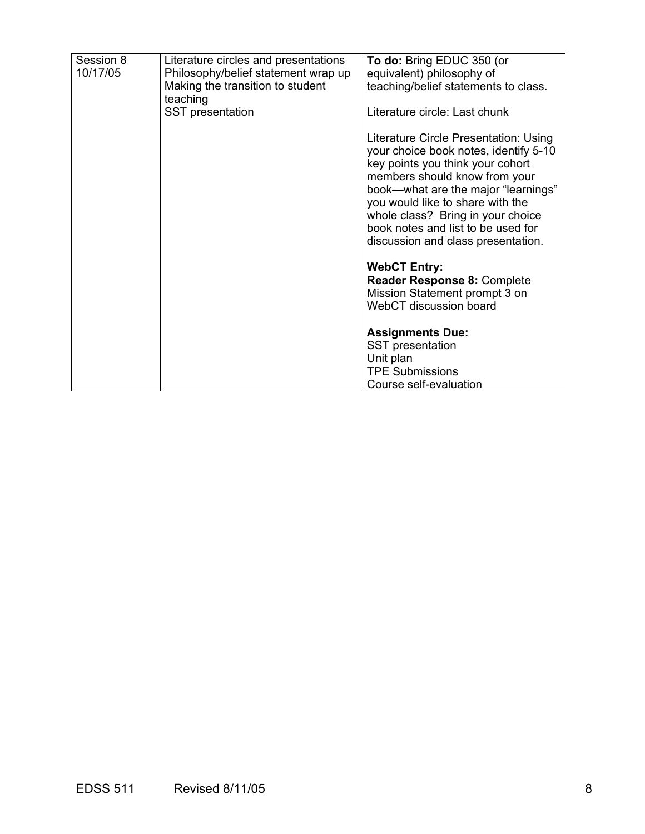| Session 8<br>10/17/05 | Literature circles and presentations<br>Philosophy/belief statement wrap up<br>Making the transition to student<br>teaching | To do: Bring EDUC 350 (or<br>equivalent) philosophy of<br>teaching/belief statements to class.                                                                                                                                                                                                                                                  |
|-----------------------|-----------------------------------------------------------------------------------------------------------------------------|-------------------------------------------------------------------------------------------------------------------------------------------------------------------------------------------------------------------------------------------------------------------------------------------------------------------------------------------------|
|                       | SST presentation                                                                                                            | Literature circle: Last chunk                                                                                                                                                                                                                                                                                                                   |
|                       |                                                                                                                             | Literature Circle Presentation: Using<br>your choice book notes, identify 5-10<br>key points you think your cohort<br>members should know from your<br>book-what are the major "learnings"<br>you would like to share with the<br>whole class? Bring in your choice<br>book notes and list to be used for<br>discussion and class presentation. |
|                       |                                                                                                                             | <b>WebCT Entry:</b><br><b>Reader Response 8: Complete</b>                                                                                                                                                                                                                                                                                       |
|                       |                                                                                                                             | Mission Statement prompt 3 on<br>WebCT discussion board                                                                                                                                                                                                                                                                                         |
|                       |                                                                                                                             | <b>Assignments Due:</b>                                                                                                                                                                                                                                                                                                                         |
|                       |                                                                                                                             | <b>SST</b> presentation<br>Unit plan                                                                                                                                                                                                                                                                                                            |
|                       |                                                                                                                             | <b>TPE Submissions</b>                                                                                                                                                                                                                                                                                                                          |
|                       |                                                                                                                             | Course self-evaluation                                                                                                                                                                                                                                                                                                                          |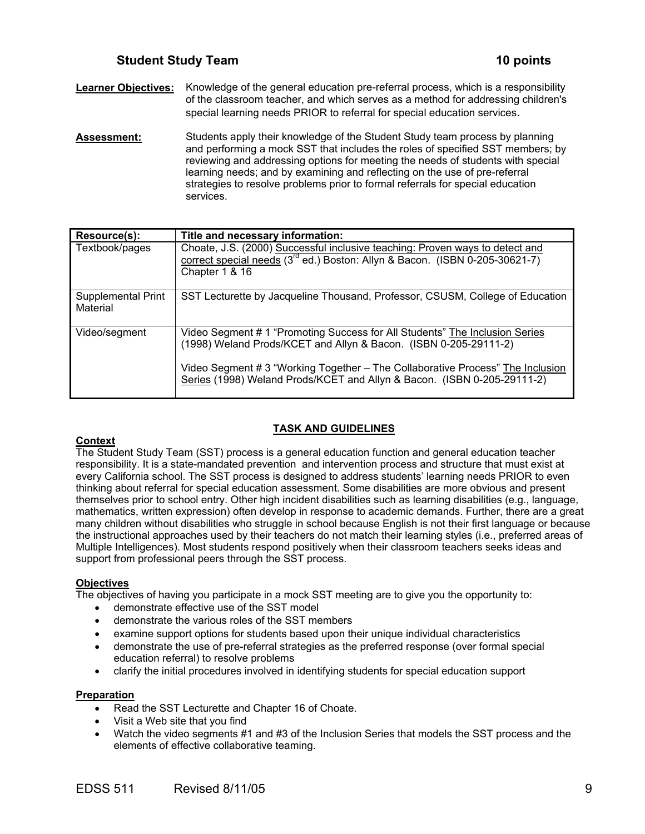**Learner Objectives:** Knowledge of the general education pre-referral process, which is a responsibility of the classroom teacher, and which serves as a method for addressing children's special learning needs PRIOR to referral for special education services.

**Assessment:** Students apply their knowledge of the Student Study team process by planning and performing a mock SST that includes the roles of specified SST members; by reviewing and addressing options for meeting the needs of students with special learning needs; and by examining and reflecting on the use of pre-referral strategies to resolve problems prior to formal referrals for special education services.

| <b>Resource(s):</b>            | Title and necessary information:                                                                                                                                                                                                                                                                             |
|--------------------------------|--------------------------------------------------------------------------------------------------------------------------------------------------------------------------------------------------------------------------------------------------------------------------------------------------------------|
| Textbook/pages                 | Choate, J.S. (2000) Successful inclusive teaching: Proven ways to detect and<br>correct special needs $(3^{rd}$ ed.) Boston: Allyn & Bacon. (ISBN 0-205-30621-7)<br>Chapter 1 & 16                                                                                                                           |
| Supplemental Print<br>Material | SST Lecturette by Jacqueline Thousand, Professor, CSUSM, College of Education                                                                                                                                                                                                                                |
| Video/segment                  | Video Segment # 1 "Promoting Success for All Students" The Inclusion Series<br>(1998) Weland Prods/KCET and Allyn & Bacon. (ISBN 0-205-29111-2)<br>Video Segment # 3 "Working Together - The Collaborative Process" The Inclusion<br>Series (1998) Weland Prods/KCET and Allyn & Bacon. (ISBN 0-205-29111-2) |

# **TASK AND GUIDELINES**

# **Context**

The Student Study Team (SST) process is a general education function and general education teacher responsibility. It is a state-mandated prevention and intervention process and structure that must exist at every California school. The SST process is designed to address students' learning needs PRIOR to even thinking about referral for special education assessment. Some disabilities are more obvious and present themselves prior to school entry. Other high incident disabilities such as learning disabilities (e.g., language, mathematics, written expression) often develop in response to academic demands. Further, there are a great many children without disabilities who struggle in school because English is not their first language or because the instructional approaches used by their teachers do not match their learning styles (i.e., preferred areas of Multiple Intelligences). Most students respond positively when their classroom teachers seeks ideas and support from professional peers through the SST process.

# **Objectives**

The objectives of having you participate in a mock SST meeting are to give you the opportunity to:

- demonstrate effective use of the SST model
- demonstrate the various roles of the SST members
- examine support options for students based upon their unique individual characteristics
- demonstrate the use of pre-referral strategies as the preferred response (over formal special education referral) to resolve problems
- clarify the initial procedures involved in identifying students for special education support

### **Preparation**

- Read the SST Lecturette and Chapter 16 of Choate.
- Visit a Web site that you find
- Watch the video segments #1 and #3 of the Inclusion Series that models the SST process and the elements of effective collaborative teaming.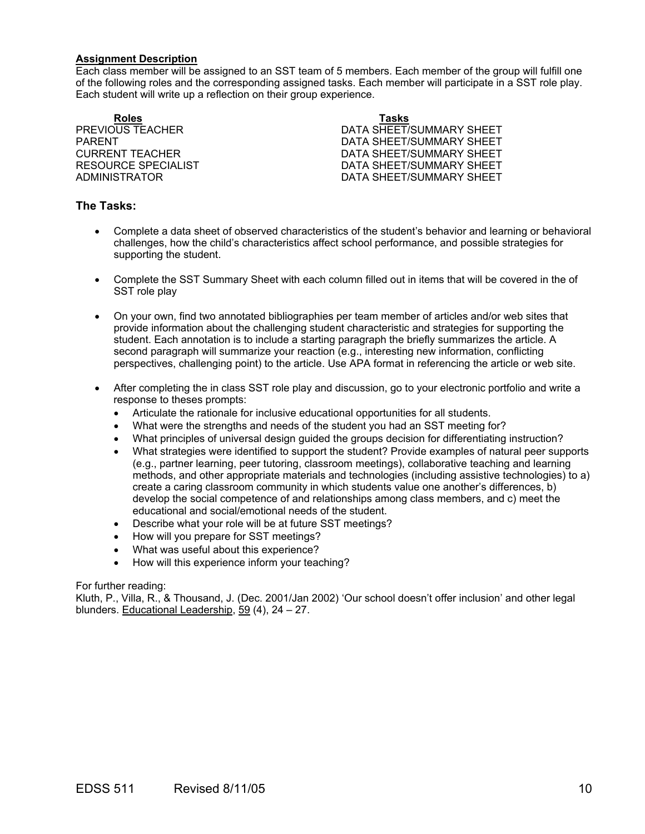### **Assignment Description**

Each class member will be assigned to an SST team of 5 members. Each member of the group will fulfill one of the following roles and the corresponding assigned tasks. Each member will participate in a SST role play. Each student will write up a reflection on their group experience.

**Roles Tasks**

**PREVIOUS TEACHER CONSUMING THE SECTION DATA SHEET/SUMMARY SHEET** PARENT **PARENT SHEET/SUMMARY SHEET** CURRENT TEACHER **DATA SHEET/SUMMARY SHEET** RESOURCE SPECIALIST **EXECUTE:** THE DATA SHEET/SUMMARY SHEET ADMINISTRATOR DATA SHEET/SUMMARY SHEET

# **The Tasks:**

- Complete a data sheet of observed characteristics of the student's behavior and learning or behavioral challenges, how the child's characteristics affect school performance, and possible strategies for supporting the student.
- Complete the SST Summary Sheet with each column filled out in items that will be covered in the of SST role play
- On your own, find two annotated bibliographies per team member of articles and/or web sites that provide information about the challenging student characteristic and strategies for supporting the student. Each annotation is to include a starting paragraph the briefly summarizes the article. A second paragraph will summarize your reaction (e.g., interesting new information, conflicting perspectives, challenging point) to the article. Use APA format in referencing the article or web site.
- After completing the in class SST role play and discussion, go to your electronic portfolio and write a response to theses prompts:
	- Articulate the rationale for inclusive educational opportunities for all students.
	- What were the strengths and needs of the student you had an SST meeting for?
	- What principles of universal design guided the groups decision for differentiating instruction?
	- What strategies were identified to support the student? Provide examples of natural peer supports (e.g., partner learning, peer tutoring, classroom meetings), collaborative teaching and learning methods, and other appropriate materials and technologies (including assistive technologies) to a) create a caring classroom community in which students value one another's differences, b) develop the social competence of and relationships among class members, and c) meet the educational and social/emotional needs of the student.
	- Describe what your role will be at future SST meetings?
	- How will you prepare for SST meetings?
	- What was useful about this experience?
	- How will this experience inform your teaching?

### For further reading:

Kluth, P., Villa, R., & Thousand, J. (Dec. 2001/Jan 2002) 'Our school doesn't offer inclusion' and other legal blunders. Educational Leadership, 59 (4), 24 – 27.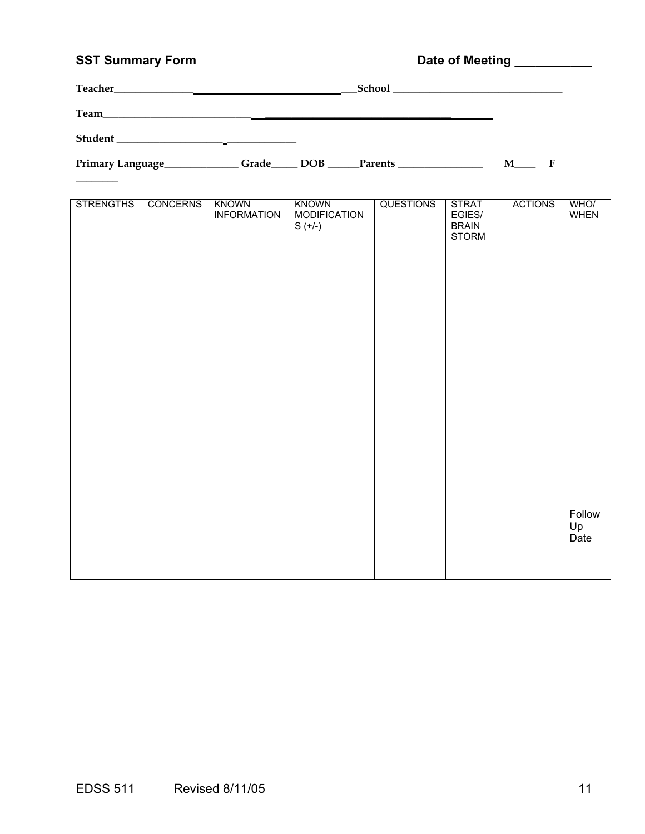# SST Summary Form **Date of Meeting Limits Community** Date of Meeting Limits 2007

| Teacher        | School |
|----------------|--------|
| Team           |        |
| <b>Student</b> |        |

 $\overline{\phantom{a}}$ 

Primary Language\_\_\_\_\_\_\_\_\_\_\_\_\_Grade\_\_\_\_\_ DOB \_\_\_\_\_Parents \_\_\_\_\_\_\_\_\_\_\_\_\_\_\_\_\_\_\_\_\_\_ M\_\_\_\_\_ F

| <b>STRENGTHS</b> | <b>CONCERNS</b> | <b>KNOWN</b><br><b>INFORMATION</b> | <b>KNOWN</b><br><b>MODIFICATION</b><br>$S (+/-)$ | <b>QUESTIONS</b> | <b>STRAT</b><br>EGIES/<br><b>BRAIN</b><br><b>STORM</b> | <b>ACTIONS</b> | WHO/<br><b>WHEN</b>  |
|------------------|-----------------|------------------------------------|--------------------------------------------------|------------------|--------------------------------------------------------|----------------|----------------------|
|                  |                 |                                    |                                                  |                  |                                                        |                |                      |
|                  |                 |                                    |                                                  |                  |                                                        |                |                      |
|                  |                 |                                    |                                                  |                  |                                                        |                |                      |
|                  |                 |                                    |                                                  |                  |                                                        |                |                      |
|                  |                 |                                    |                                                  |                  |                                                        |                |                      |
|                  |                 |                                    |                                                  |                  |                                                        |                |                      |
|                  |                 |                                    |                                                  |                  |                                                        |                | Follow<br>Up<br>Date |
|                  |                 |                                    |                                                  |                  |                                                        |                |                      |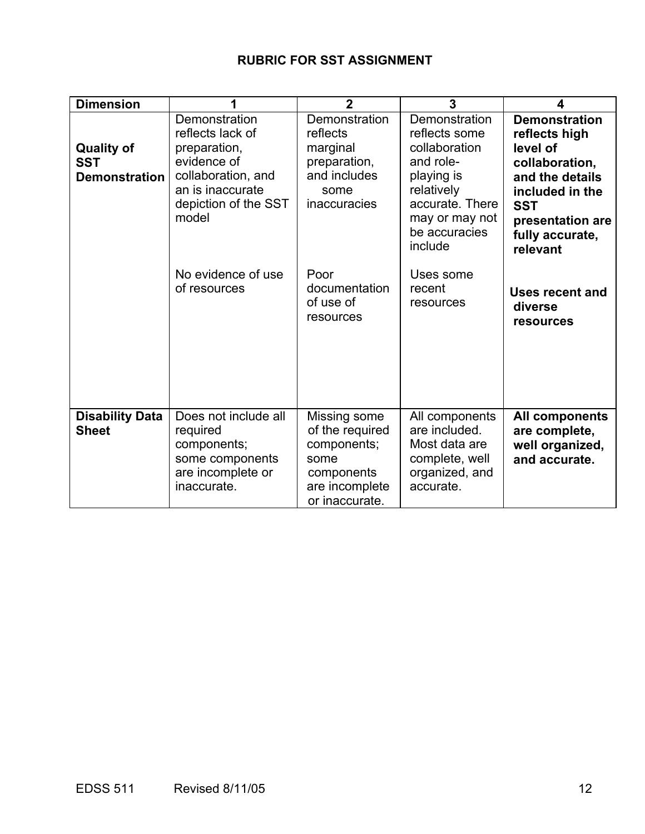# **RUBRIC FOR SST ASSIGNMENT**

| <b>Dimension</b>                                        |                                                                                                                                             | $\overline{2}$                                                                                           | 3                                                                                                                                                         | 4                                                                                                                                                                          |
|---------------------------------------------------------|---------------------------------------------------------------------------------------------------------------------------------------------|----------------------------------------------------------------------------------------------------------|-----------------------------------------------------------------------------------------------------------------------------------------------------------|----------------------------------------------------------------------------------------------------------------------------------------------------------------------------|
| <b>Quality of</b><br><b>SST</b><br><b>Demonstration</b> | Demonstration<br>reflects lack of<br>preparation,<br>evidence of<br>collaboration, and<br>an is inaccurate<br>depiction of the SST<br>model | Demonstration<br>reflects<br>marginal<br>preparation,<br>and includes<br>some<br><b>inaccuracies</b>     | Demonstration<br>reflects some<br>collaboration<br>and role-<br>playing is<br>relatively<br>accurate. There<br>may or may not<br>be accuracies<br>include | <b>Demonstration</b><br>reflects high<br>level of<br>collaboration,<br>and the details<br>included in the<br><b>SST</b><br>presentation are<br>fully accurate,<br>relevant |
|                                                         | No evidence of use<br>of resources                                                                                                          | Poor<br>documentation<br>of use of<br>resources                                                          | Uses some<br>recent<br>resources                                                                                                                          | Uses recent and<br>diverse<br><b>resources</b>                                                                                                                             |
| <b>Disability Data</b><br><b>Sheet</b>                  | Does not include all<br>required<br>components;<br>some components<br>are incomplete or<br>inaccurate.                                      | Missing some<br>of the required<br>components;<br>some<br>components<br>are incomplete<br>or inaccurate. | All components<br>are included.<br>Most data are<br>complete, well<br>organized, and<br>accurate.                                                         | All components<br>are complete,<br>well organized,<br>and accurate.                                                                                                        |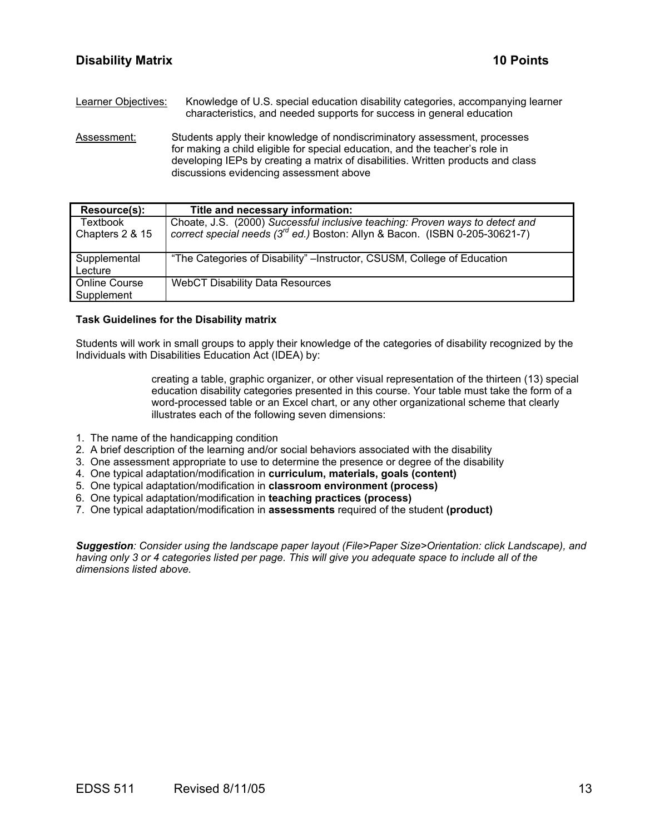Learner Objectives: Knowledge of U.S. special education disability categories, accompanying learner characteristics, and needed supports for success in general education

Assessment: Students apply their knowledge of nondiscriminatory assessment, processes for making a child eligible for special education, and the teacher's role in developing IEPs by creating a matrix of disabilities. Written products and class discussions evidencing assessment above

| Resource(s):                       | Title and necessary information:                                                                                                                               |
|------------------------------------|----------------------------------------------------------------------------------------------------------------------------------------------------------------|
| <b>Textbook</b><br>Chapters 2 & 15 | Choate, J.S. (2000) Successful inclusive teaching: Proven ways to detect and correct special needs ( $3^{rd}$ ed.) Boston: Allyn & Bacon. (ISBN 0-205-30621-7) |
| Supplemental<br>Lecture            | "The Categories of Disability" – Instructor, CSUSM, College of Education                                                                                       |
| <b>Online Course</b><br>Supplement | <b>WebCT Disability Data Resources</b>                                                                                                                         |

### **Task Guidelines for the Disability matrix**

Students will work in small groups to apply their knowledge of the categories of disability recognized by the Individuals with Disabilities Education Act (IDEA) by:

> creating a table, graphic organizer, or other visual representation of the thirteen (13) special education disability categories presented in this course. Your table must take the form of a word-processed table or an Excel chart, or any other organizational scheme that clearly illustrates each of the following seven dimensions:

- 1. The name of the handicapping condition
- 2. A brief description of the learning and/or social behaviors associated with the disability
- 3. One assessment appropriate to use to determine the presence or degree of the disability
- 4. One typical adaptation/modification in **curriculum, materials, goals (content)**
- 5. One typical adaptation/modification in **classroom environment (process)**
- 6. One typical adaptation/modification in **teaching practices (process)**
- 7. One typical adaptation/modification in **assessments** required of the student **(product)**

*Suggestion: Consider using the landscape paper layout (File>Paper Size>Orientation: click Landscape), and having only 3 or 4 categories listed per page. This will give you adequate space to include all of the dimensions listed above.*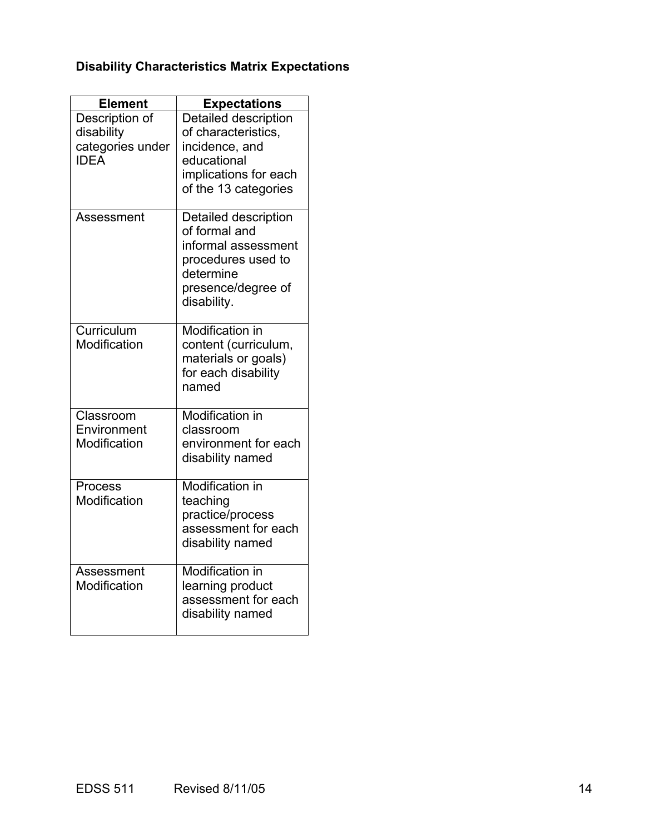# **Disability Characteristics Matrix Expectations**

| <b>Element</b>                                                  | <b>Expectations</b>                                                                                                                  |
|-----------------------------------------------------------------|--------------------------------------------------------------------------------------------------------------------------------------|
| Description of<br>disability<br>categories under<br><b>IDFA</b> | Detailed description<br>of characteristics,<br>incidence, and<br>educational                                                         |
|                                                                 | implications for each<br>of the 13 categories                                                                                        |
| Assessment                                                      | Detailed description<br>of formal and<br>informal assessment<br>procedures used to<br>determine<br>presence/degree of<br>disability. |
| Curriculum<br>Modification                                      | <b>Modification in</b><br>content (curriculum,<br>materials or goals)<br>for each disability<br>named                                |
| Classroom<br>Environment<br>Modification                        | <b>Modification in</b><br>classroom<br>environment for each<br>disability named                                                      |
| Process<br>Modification                                         | <b>Modification in</b><br>teaching<br>practice/process<br>assessment for each<br>disability named                                    |
| Assessment<br>Modification                                      | <b>Modification in</b><br>learning product<br>assessment for each<br>disability named                                                |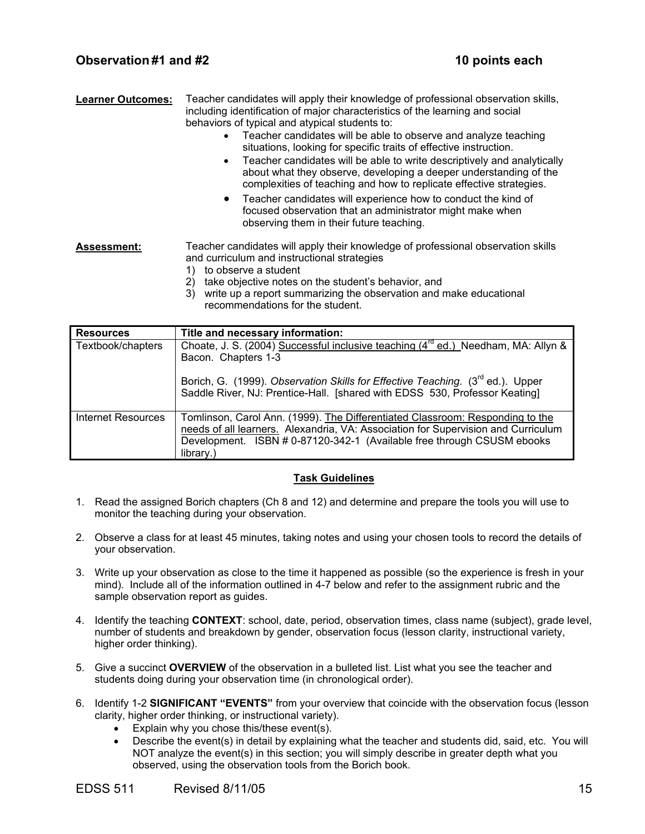| <b>Learner Outcomes:</b> | Teacher candidates will apply their knowledge of professional observation skills,<br>including identification of major characteristics of the learning and social<br>behaviors of typical and atypical students to:                                                                               |  |
|--------------------------|---------------------------------------------------------------------------------------------------------------------------------------------------------------------------------------------------------------------------------------------------------------------------------------------------|--|
|                          | Teacher candidates will be able to observe and analyze teaching<br>situations, looking for specific traits of effective instruction.<br>Teacher candidates will be able to write descriptively and analytically<br>$\bullet$<br>about what they observe, developing a deeper understanding of the |  |

complexities of teaching and how to replicate effective strategies. • Teacher candidates will experience how to conduct the kind of focused observation that an administrator might make when observing them in their future teaching.

# **Assessment:** Teacher candidates will apply their knowledge of professional observation skills and curriculum and instructional strategies

- 1) to observe a student
- 2) take objective notes on the student's behavior, and
- 3) write up a report summarizing the observation and make educational recommendations for the student.

| <b>Resources</b>   | Title and necessary information:                                                                                                                                                                                                                                                                 |
|--------------------|--------------------------------------------------------------------------------------------------------------------------------------------------------------------------------------------------------------------------------------------------------------------------------------------------|
| Textbook/chapters  | Choate, J. S. (2004) Successful inclusive teaching (4 <sup>rd</sup> ed.) Needham, MA: Allyn &<br>Bacon. Chapters 1-3<br>Borich, G. (1999). Observation Skills for Effective Teaching. (3 <sup>rd</sup> ed.). Upper<br>Saddle River, NJ: Prentice-Hall. [shared with EDSS 530, Professor Keating] |
| Internet Resources | Tomlinson, Carol Ann. (1999). The Differentiated Classroom: Responding to the<br>needs of all learners. Alexandria, VA: Association for Supervision and Curriculum<br>Development. ISBN # 0-87120-342-1 (Available free through CSUSM ebooks<br>library.)                                        |

# **Task Guidelines**

- 1. Read the assigned Borich chapters (Ch 8 and 12) and determine and prepare the tools you will use to monitor the teaching during your observation.
- 2. Observe a class for at least 45 minutes, taking notes and using your chosen tools to record the details of your observation.
- 3. Write up your observation as close to the time it happened as possible (so the experience is fresh in your mind). Include all of the information outlined in 4-7 below and refer to the assignment rubric and the sample observation report as guides.
- 4. Identify the teaching **CONTEXT**: school, date, period, observation times, class name (subject), grade level, number of students and breakdown by gender, observation focus (lesson clarity, instructional variety, higher order thinking).
- 5. Give a succinct **OVERVIEW** of the observation in a bulleted list. List what you see the teacher and students doing during your observation time (in chronological order).
- 6. Identify 1-2 **SIGNIFICANT "EVENTS"** from your overview that coincide with the observation focus (lesson clarity, higher order thinking, or instructional variety).
	- Explain why you chose this/these event(s).
	- Describe the event(s) in detail by explaining what the teacher and students did, said, etc. You will NOT analyze the event(s) in this section; you will simply describe in greater depth what you observed, using the observation tools from the Borich book.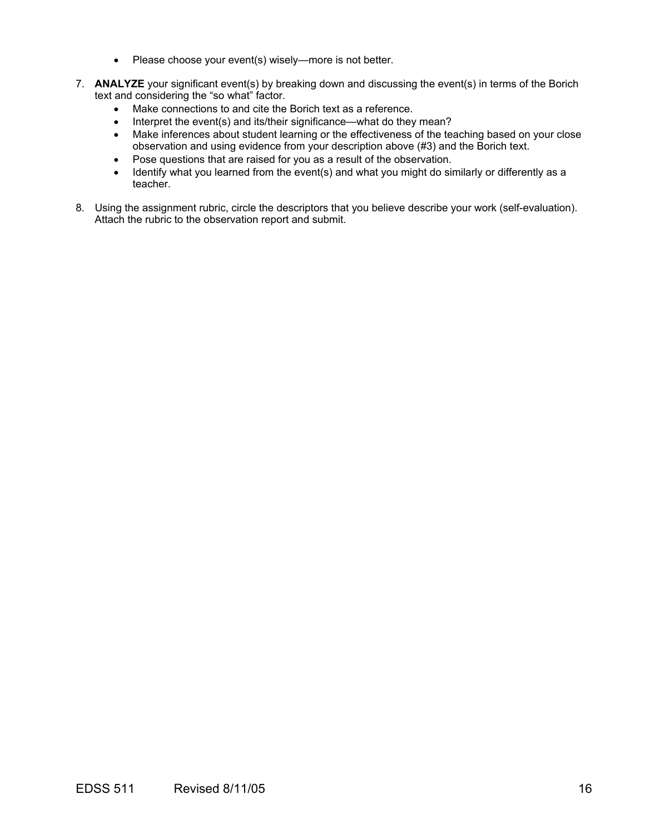- Please choose your event(s) wisely—more is not better.
- 7. **ANALYZE** your significant event(s) by breaking down and discussing the event(s) in terms of the Borich text and considering the "so what" factor.
	- Make connections to and cite the Borich text as a reference.
	- Interpret the event(s) and its/their significance—what do they mean?
	- Make inferences about student learning or the effectiveness of the teaching based on your close observation and using evidence from your description above (#3) and the Borich text.
	- Pose questions that are raised for you as a result of the observation.
	- Identify what you learned from the event(s) and what you might do similarly or differently as a teacher.
- 8. Using the assignment rubric, circle the descriptors that you believe describe your work (self-evaluation). Attach the rubric to the observation report and submit.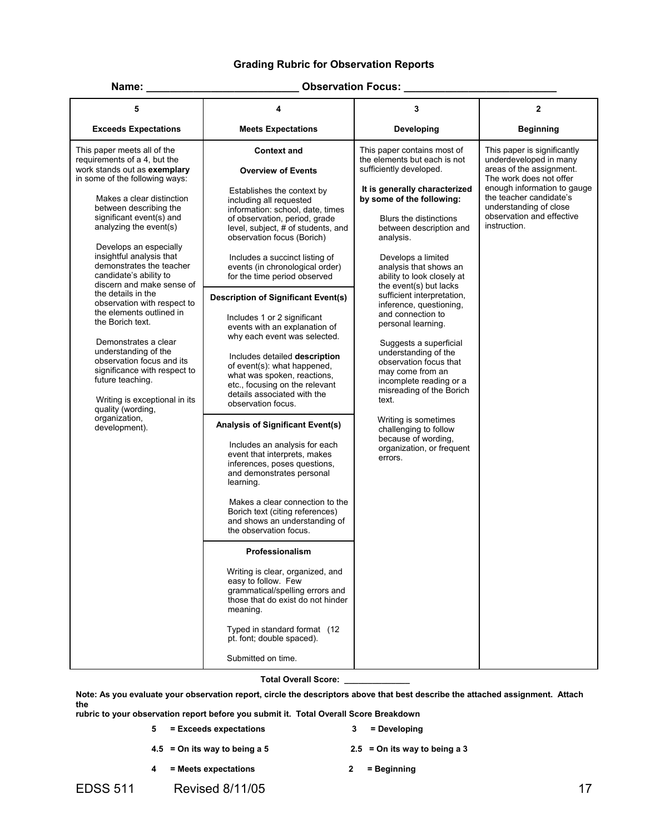# **Grading Rubric for Observation Reports**

### **Name: \_\_\_\_\_\_\_\_\_\_\_\_\_\_\_\_\_\_\_\_\_\_\_\_\_\_ Observation Focus: \_\_\_\_\_\_\_\_\_\_\_\_\_\_\_\_\_\_\_\_\_\_\_\_\_\_**

| <b>Exceeds Expectations</b><br><b>Meets Expectations</b><br>Developing<br><b>Beginning</b><br>This paper meets all of the<br><b>Context and</b><br>This paper contains most of<br>This paper is significantly<br>requirements of a 4, but the<br>underdeveloped in many<br>the elements but each is not<br>areas of the assignment.<br>work stands out as exemplary<br>sufficiently developed.<br><b>Overview of Events</b><br>in some of the following ways:<br>The work does not offer<br>It is generally characterized<br>Establishes the context by<br>the teacher candidate's<br>by some of the following:<br>Makes a clear distinction<br>including all requested<br>understanding of close<br>between describing the<br>information: school, date, times<br>observation and effective<br>significant event(s) and<br>of observation, period, grade<br>Blurs the distinctions<br>instruction.<br>analyzing the event(s)<br>level, subject, # of students, and<br>between description and<br>observation focus (Borich)<br>analysis.<br>Develops an especially<br>insightful analysis that<br>Includes a succinct listing of<br>Develops a limited<br>demonstrates the teacher<br>events (in chronological order)<br>analysis that shows an<br>candidate's ability to<br>for the time period observed<br>ability to look closely at<br>discern and make sense of<br>the event(s) but lacks<br>the details in the<br>sufficient interpretation,<br><b>Description of Significant Event(s)</b><br>observation with respect to<br>inference, questioning,<br>the elements outlined in<br>and connection to<br>Includes 1 or 2 significant<br>the Borich text.<br>personal learning.<br>events with an explanation of<br>why each event was selected.<br>Demonstrates a clear<br>Suggests a superficial | 5                    | 4 | 3                    | $\mathbf{2}$                |
|----------------------------------------------------------------------------------------------------------------------------------------------------------------------------------------------------------------------------------------------------------------------------------------------------------------------------------------------------------------------------------------------------------------------------------------------------------------------------------------------------------------------------------------------------------------------------------------------------------------------------------------------------------------------------------------------------------------------------------------------------------------------------------------------------------------------------------------------------------------------------------------------------------------------------------------------------------------------------------------------------------------------------------------------------------------------------------------------------------------------------------------------------------------------------------------------------------------------------------------------------------------------------------------------------------------------------------------------------------------------------------------------------------------------------------------------------------------------------------------------------------------------------------------------------------------------------------------------------------------------------------------------------------------------------------------------------------------------------------------------------------------------------------------------------------|----------------------|---|----------------------|-----------------------------|
|                                                                                                                                                                                                                                                                                                                                                                                                                                                                                                                                                                                                                                                                                                                                                                                                                                                                                                                                                                                                                                                                                                                                                                                                                                                                                                                                                                                                                                                                                                                                                                                                                                                                                                                                                                                                          |                      |   |                      |                             |
| Includes detailed description<br>observation focus and its<br>observation focus that<br>of event(s): what happened,<br>significance with respect to<br>may come from an<br>what was spoken, reactions,<br>future teaching.<br>incomplete reading or a<br>etc., focusing on the relevant<br>misreading of the Borich<br>details associated with the<br>Writing is exceptional in its<br>text.<br>observation focus.<br>quality (wording,<br>organization,<br>Writing is sometimes<br><b>Analysis of Significant Event(s)</b><br>development).<br>challenging to follow<br>because of wording,<br>Includes an analysis for each<br>organization, or frequent<br>event that interprets, makes<br>errors.<br>inferences, poses questions,<br>and demonstrates personal<br>learning.<br>Makes a clear connection to the<br>Borich text (citing references)<br>and shows an understanding of<br>the observation focus.<br>Professionalism<br>Writing is clear, organized, and<br>easy to follow. Few<br>grammatical/spelling errors and<br>those that do exist do not hinder<br>meaning.<br>Typed in standard format (12<br>pt. font; double spaced).<br>Submitted on time.                                                                                                                                                                                                                                                                                                                                                                                                                                                                                                                                                                                                                                    | understanding of the |   | understanding of the | enough information to gauge |

# **Total Overall Score: \_\_\_\_\_\_\_\_\_\_\_\_\_\_**

**Note: As you evaluate your observation report, circle the descriptors above that best describe the attached assignment. Attach the** 

**rubric to your observation report before you submit it. Total Overall Score Breakdown** 

- **5 = Exceeds expectations 3 = Developing** 
	-
- **4.5 = On its way to being a 5 2.5 = On its way to being a 3**
- **4 = Meets expectations 2 = Beginning**
- -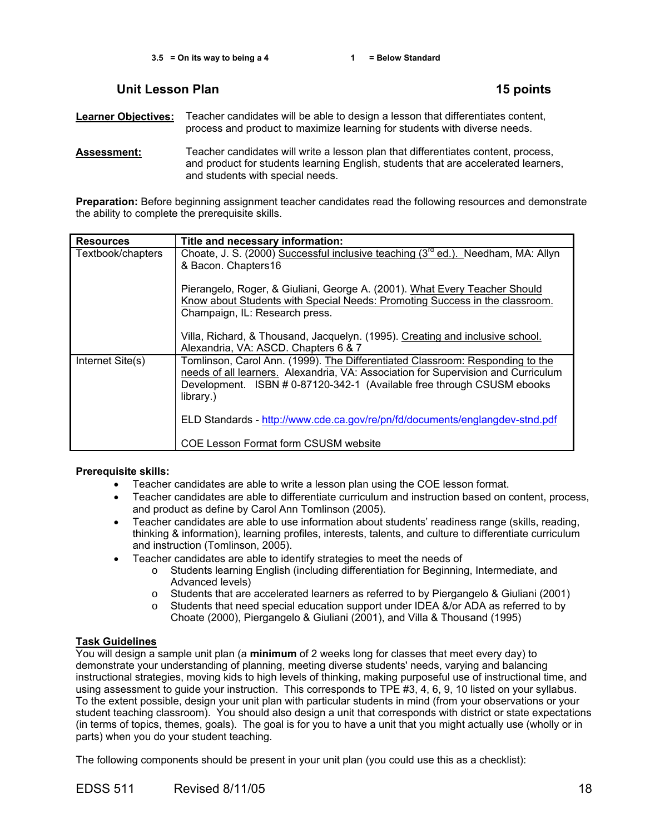# **Unit Lesson Plan 15 points**

**Learner Objectives:** Teacher candidates will be able to design a lesson that differentiates content, process and product to maximize learning for students with diverse needs.

**Assessment:** Teacher candidates will write a lesson plan that differentiates content, process, and product for students learning English, students that are accelerated learners, and students with special needs.

**Preparation:** Before beginning assignment teacher candidates read the following resources and demonstrate the ability to complete the prerequisite skills.

| <b>Resources</b>  | Title and necessary information:                                                                                                                                                                                                                          |
|-------------------|-----------------------------------------------------------------------------------------------------------------------------------------------------------------------------------------------------------------------------------------------------------|
| Textbook/chapters | Choate, J. S. (2000) Successful inclusive teaching (3 <sup>rd</sup> ed.). Needham, MA: Allyn<br>& Bacon. Chapters16                                                                                                                                       |
|                   | Pierangelo, Roger, & Giuliani, George A. (2001). What Every Teacher Should<br>Know about Students with Special Needs: Promoting Success in the classroom.<br>Champaign, IL: Research press.                                                               |
|                   | Villa, Richard, & Thousand, Jacquelyn. (1995). Creating and inclusive school.<br>Alexandria, VA: ASCD. Chapters 6 & 7                                                                                                                                     |
| Internet Site(s)  | Tomlinson, Carol Ann. (1999). The Differentiated Classroom: Responding to the<br>needs of all learners. Alexandria, VA: Association for Supervision and Curriculum<br>Development. ISBN # 0-87120-342-1 (Available free through CSUSM ebooks<br>library.) |
|                   | ELD Standards - http://www.cde.ca.gov/re/pn/fd/documents/englangdev-stnd.pdf                                                                                                                                                                              |
|                   | <b>COE Lesson Format form CSUSM website</b>                                                                                                                                                                                                               |

### **Prerequisite skills:**

- Teacher candidates are able to write a lesson plan using the COE lesson format.
- Teacher candidates are able to differentiate curriculum and instruction based on content, process, and product as define by Carol Ann Tomlinson (2005).
- Teacher candidates are able to use information about students' readiness range (skills, reading, thinking & information), learning profiles, interests, talents, and culture to differentiate curriculum and instruction (Tomlinson, 2005).
- Teacher candidates are able to identify strategies to meet the needs of
	- o Students learning English (including differentiation for Beginning, Intermediate, and Advanced levels)
	- o Students that are accelerated learners as referred to by Piergangelo & Giuliani (2001)
	- o Students that need special education support under IDEA &/or ADA as referred to by Choate (2000), Piergangelo & Giuliani (2001), and Villa & Thousand (1995)

# **Task Guidelines**

You will design a sample unit plan (a **minimum** of 2 weeks long for classes that meet every day) to demonstrate your understanding of planning, meeting diverse students' needs, varying and balancing instructional strategies, moving kids to high levels of thinking, making purposeful use of instructional time, and using assessment to guide your instruction. This corresponds to TPE #3, 4, 6, 9, 10 listed on your syllabus. To the extent possible, design your unit plan with particular students in mind (from your observations or your student teaching classroom). You should also design a unit that corresponds with district or state expectations (in terms of topics, themes, goals). The goal is for you to have a unit that you might actually use (wholly or in parts) when you do your student teaching.

The following components should be present in your unit plan (you could use this as a checklist):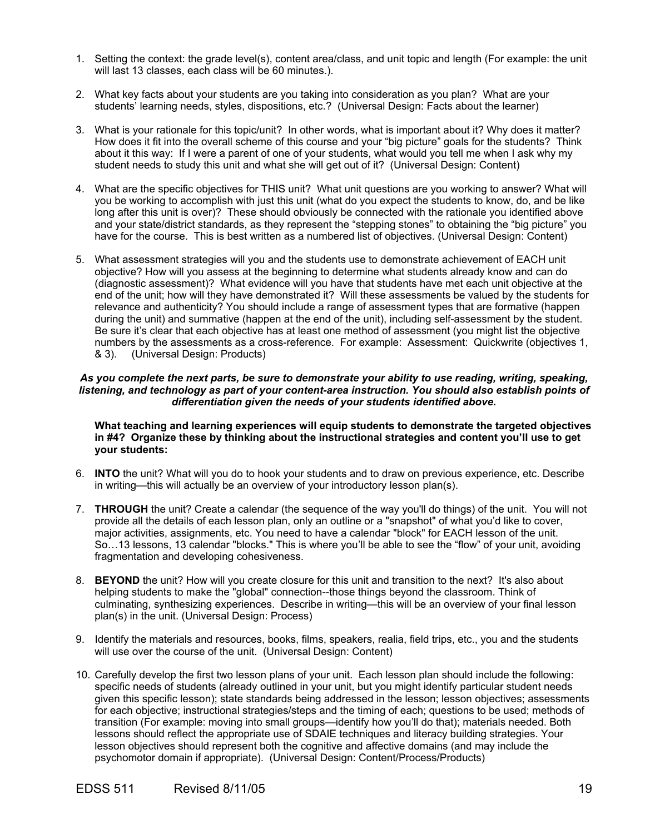- 1. Setting the context: the grade level(s), content area/class, and unit topic and length (For example: the unit will last 13 classes, each class will be 60 minutes.).
- 2. What key facts about your students are you taking into consideration as you plan? What are your students' learning needs, styles, dispositions, etc.? (Universal Design: Facts about the learner)
- 3. What is your rationale for this topic/unit? In other words, what is important about it? Why does it matter? How does it fit into the overall scheme of this course and your "big picture" goals for the students? Think about it this way: If I were a parent of one of your students, what would you tell me when I ask why my student needs to study this unit and what she will get out of it? (Universal Design: Content)
- 4. What are the specific objectives for THIS unit? What unit questions are you working to answer? What will you be working to accomplish with just this unit (what do you expect the students to know, do, and be like long after this unit is over)? These should obviously be connected with the rationale you identified above and your state/district standards, as they represent the "stepping stones" to obtaining the "big picture" you have for the course. This is best written as a numbered list of objectives. (Universal Design: Content)
- 5. What assessment strategies will you and the students use to demonstrate achievement of EACH unit objective? How will you assess at the beginning to determine what students already know and can do (diagnostic assessment)? What evidence will you have that students have met each unit objective at the end of the unit; how will they have demonstrated it? Will these assessments be valued by the students for relevance and authenticity? You should include a range of assessment types that are formative (happen during the unit) and summative (happen at the end of the unit), including self-assessment by the student. Be sure it's clear that each objective has at least one method of assessment (you might list the objective numbers by the assessments as a cross-reference. For example: Assessment: Quickwrite (objectives 1, & 3). (Universal Design: Products)

### *As you complete the next parts, be sure to demonstrate your ability to use reading, writing, speaking,*  listening, and technology as part of your content-area instruction. You should also establish points of *differentiation given the needs of your students identified above.*

**What teaching and learning experiences will equip students to demonstrate the targeted objectives in #4? Organize these by thinking about the instructional strategies and content you'll use to get your students:** 

- 6. **INTO** the unit? What will you do to hook your students and to draw on previous experience, etc. Describe in writing—this will actually be an overview of your introductory lesson plan(s).
- 7. **THROUGH** the unit? Create a calendar (the sequence of the way you'll do things) of the unit. You will not provide all the details of each lesson plan, only an outline or a "snapshot" of what you'd like to cover, major activities, assignments, etc. You need to have a calendar "block" for EACH lesson of the unit. So…13 lessons, 13 calendar "blocks." This is where you'll be able to see the "flow" of your unit, avoiding fragmentation and developing cohesiveness.
- 8. **BEYOND** the unit? How will you create closure for this unit and transition to the next? It's also about helping students to make the "global" connection--those things beyond the classroom. Think of culminating, synthesizing experiences. Describe in writing—this will be an overview of your final lesson plan(s) in the unit. (Universal Design: Process)
- 9. Identify the materials and resources, books, films, speakers, realia, field trips, etc., you and the students will use over the course of the unit. (Universal Design: Content)
- 10. Carefully develop the first two lesson plans of your unit. Each lesson plan should include the following: specific needs of students (already outlined in your unit, but you might identify particular student needs given this specific lesson); state standards being addressed in the lesson; lesson objectives; assessments for each objective; instructional strategies/steps and the timing of each; questions to be used; methods of transition (For example: moving into small groups—identify how you'll do that); materials needed. Both lessons should reflect the appropriate use of SDAIE techniques and literacy building strategies. Your lesson objectives should represent both the cognitive and affective domains (and may include the psychomotor domain if appropriate). (Universal Design: Content/Process/Products)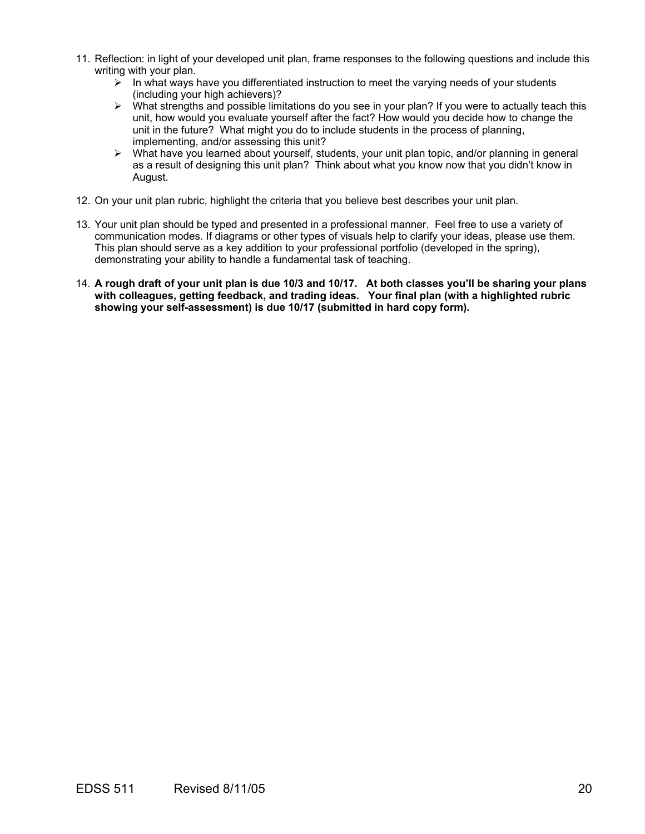- 11. Reflection: in light of your developed unit plan, frame responses to the following questions and include this writing with your plan.
	- $\geq$  In what ways have you differentiated instruction to meet the varying needs of your students (including your high achievers)?
	- ¾ What strengths and possible limitations do you see in your plan? If you were to actually teach this unit, how would you evaluate yourself after the fact? How would you decide how to change the unit in the future? What might you do to include students in the process of planning, implementing, and/or assessing this unit?
	- $\triangleright$  What have you learned about yourself, students, your unit plan topic, and/or planning in general as a result of designing this unit plan? Think about what you know now that you didn't know in August.
- 12. On your unit plan rubric, highlight the criteria that you believe best describes your unit plan.
- 13. Your unit plan should be typed and presented in a professional manner. Feel free to use a variety of communication modes. If diagrams or other types of visuals help to clarify your ideas, please use them. This plan should serve as a key addition to your professional portfolio (developed in the spring), demonstrating your ability to handle a fundamental task of teaching.
- 14. **A rough draft of your unit plan is due 10/3 and 10/17. At both classes you'll be sharing your plans with colleagues, getting feedback, and trading ideas. Your final plan (with a highlighted rubric showing your self-assessment) is due 10/17 (submitted in hard copy form).**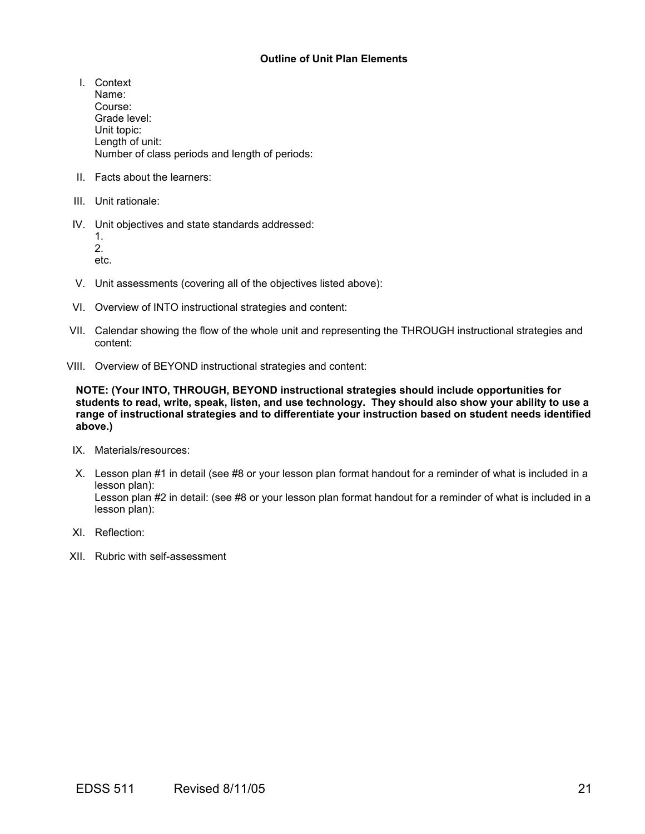# **Outline of Unit Plan Elements**

- I. Context Name: Course: Grade level: Unit topic: Length of unit: Number of class periods and length of periods:
- II. Facts about the learners:
- III. Unit rationale:
- IV. Unit objectives and state standards addressed:
	- 1. 2.

etc.

- V. Unit assessments (covering all of the objectives listed above):
- VI. Overview of INTO instructional strategies and content:
- VII. Calendar showing the flow of the whole unit and representing the THROUGH instructional strategies and content:
- VIII. Overview of BEYOND instructional strategies and content:

**NOTE: (Your INTO, THROUGH, BEYOND instructional strategies should include opportunities for students to read, write, speak, listen, and use technology. They should also show your ability to use a range of instructional strategies and to differentiate your instruction based on student needs identified above.)** 

- IX. Materials/resources:
- X. Lesson plan #1 in detail (see #8 or your lesson plan format handout for a reminder of what is included in a lesson plan): Lesson plan #2 in detail: (see #8 or your lesson plan format handout for a reminder of what is included in a lesson plan):
- XI. Reflection:
- XII. Rubric with self-assessment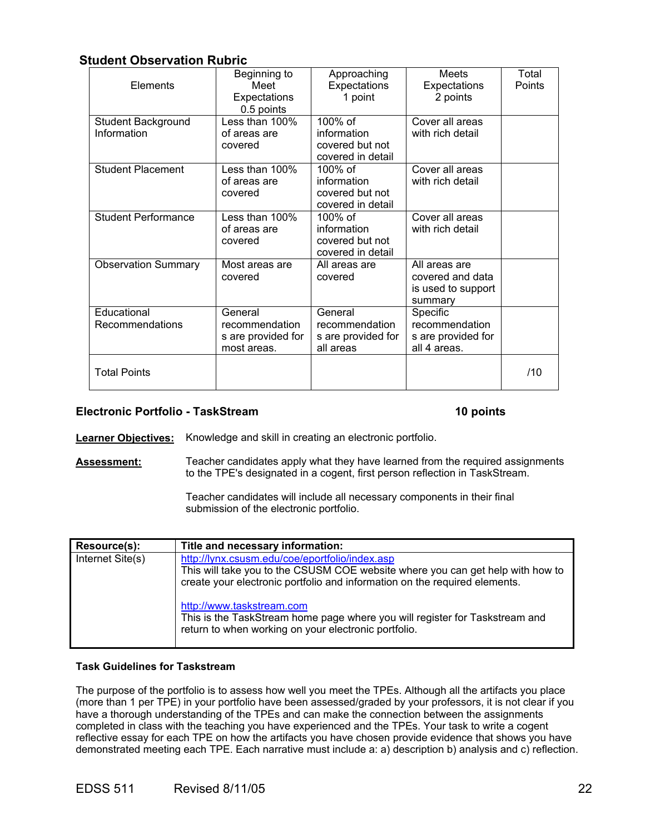# **Student Observation Rubric**

| Elements                          | Beginning to<br>Meet<br>Expectations<br>0.5 points             | Approaching<br>Expectations<br>1 point                            | <b>Meets</b><br>Expectations<br>2 points                           | Total<br>Points |
|-----------------------------------|----------------------------------------------------------------|-------------------------------------------------------------------|--------------------------------------------------------------------|-----------------|
| Student Background<br>Information | Less than 100%<br>of areas are<br>covered                      | $100\%$ of<br>information<br>covered but not<br>covered in detail | Cover all areas<br>with rich detail                                |                 |
| <b>Student Placement</b>          | Less than $100\%$<br>of areas are<br>covered                   | 100% of<br>information<br>covered but not<br>covered in detail    | Cover all areas<br>with rich detail                                |                 |
| <b>Student Performance</b>        | Less than 100%<br>of areas are<br>covered                      | $100\%$ of<br>information<br>covered but not<br>covered in detail | Cover all areas<br>with rich detail                                |                 |
| <b>Observation Summary</b>        | Most areas are<br>covered                                      | All areas are<br>covered                                          | All areas are<br>covered and data<br>is used to support<br>summary |                 |
| Educational<br>Recommendations    | General<br>recommendation<br>s are provided for<br>most areas. | General<br>recommendation<br>s are provided for<br>all areas      | Specific<br>recommendation<br>s are provided for<br>all 4 areas.   |                 |
| <b>Total Points</b>               |                                                                |                                                                   |                                                                    | /10             |

# **Electronic Portfolio - TaskStream 10 points** 10 points

**Learner Objectives:** Knowledge and skill in creating an electronic portfolio.

**Assessment:** Teacher candidates apply what they have learned from the required assignments to the TPE's designated in a cogent, first person reflection in TaskStream.

> Teacher candidates will include all necessary components in their final submission of the electronic portfolio.

| Resource(s):     | Title and necessary information:                                                                                                                                                                                                                                                                                                                                                   |
|------------------|------------------------------------------------------------------------------------------------------------------------------------------------------------------------------------------------------------------------------------------------------------------------------------------------------------------------------------------------------------------------------------|
| Internet Site(s) | http://lynx.csusm.edu/coe/eportfolio/index.asp<br>This will take you to the CSUSM COE website where you can get help with how to<br>create your electronic portfolio and information on the required elements.<br>http://www.taskstream.com<br>This is the TaskStream home page where you will register for Taskstream and<br>return to when working on your electronic portfolio. |

### **Task Guidelines for Taskstream**

The purpose of the portfolio is to assess how well you meet the TPEs. Although all the artifacts you place (more than 1 per TPE) in your portfolio have been assessed/graded by your professors, it is not clear if you have a thorough understanding of the TPEs and can make the connection between the assignments completed in class with the teaching you have experienced and the TPEs. Your task to write a cogent reflective essay for each TPE on how the artifacts you have chosen provide evidence that shows you have demonstrated meeting each TPE. Each narrative must include a: a) description b) analysis and c) reflection.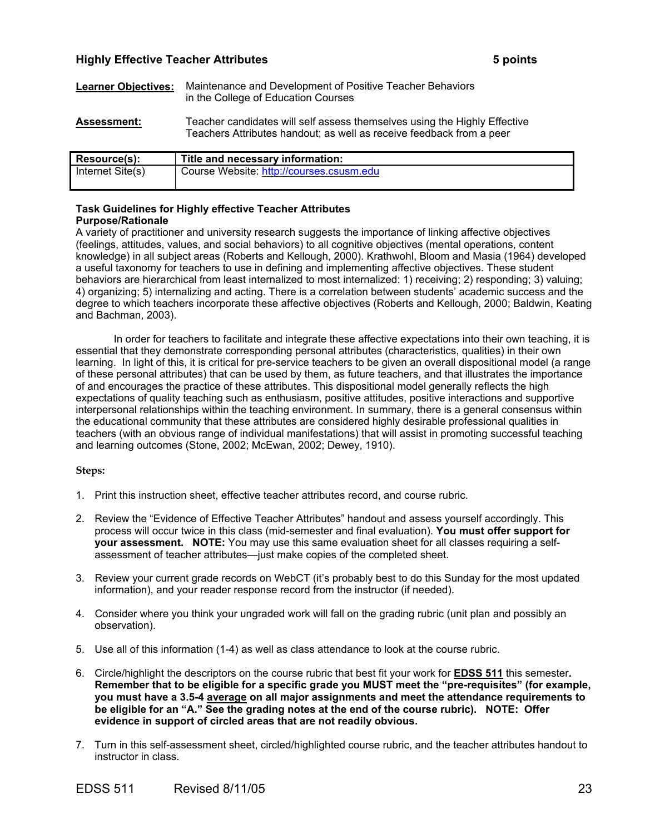# **Highly Effective Teacher Attributes 5 points**

- **Learner Objectives:** Maintenance and Development of Positive Teacher Behaviors in the College of Education Courses
- **Assessment:** Teacher candidates will self assess themselves using the Highly Effective Teachers Attributes handout; as well as receive feedback from a peer

| Resource(s):     | Title and necessary information:         |
|------------------|------------------------------------------|
| Internet Site(s) | Course Website: http://courses.csusm.edu |

### **Task Guidelines for Highly effective Teacher Attributes Purpose/Rationale**

A variety of practitioner and university research suggests the importance of linking affective objectives (feelings, attitudes, values, and social behaviors) to all cognitive objectives (mental operations, content knowledge) in all subject areas (Roberts and Kellough, 2000). Krathwohl, Bloom and Masia (1964) developed a useful taxonomy for teachers to use in defining and implementing affective objectives. These student behaviors are hierarchical from least internalized to most internalized: 1) receiving; 2) responding; 3) valuing; 4) organizing; 5) internalizing and acting. There is a correlation between students' academic success and the degree to which teachers incorporate these affective objectives (Roberts and Kellough, 2000; Baldwin, Keating and Bachman, 2003).

In order for teachers to facilitate and integrate these affective expectations into their own teaching, it is essential that they demonstrate corresponding personal attributes (characteristics, qualities) in their own learning. In light of this, it is critical for pre-service teachers to be given an overall dispositional model (a range of these personal attributes) that can be used by them, as future teachers, and that illustrates the importance of and encourages the practice of these attributes. This dispositional model generally reflects the high expectations of quality teaching such as enthusiasm, positive attitudes, positive interactions and supportive interpersonal relationships within the teaching environment. In summary, there is a general consensus within the educational community that these attributes are considered highly desirable professional qualities in teachers (with an obvious range of individual manifestations) that will assist in promoting successful teaching and learning outcomes (Stone, 2002; McEwan, 2002; Dewey, 1910).

### **Steps:**

- 1. Print this instruction sheet, effective teacher attributes record, and course rubric.
- 2. Review the "Evidence of Effective Teacher Attributes" handout and assess yourself accordingly. This process will occur twice in this class (mid-semester and final evaluation). **You must offer support for your assessment. NOTE:** You may use this same evaluation sheet for all classes requiring a selfassessment of teacher attributes—just make copies of the completed sheet.
- 3. Review your current grade records on WebCT (it's probably best to do this Sunday for the most updated information), and your reader response record from the instructor (if needed).
- 4. Consider where you think your ungraded work will fall on the grading rubric (unit plan and possibly an observation).
- 5. Use all of this information (1-4) as well as class attendance to look at the course rubric.
- 6. Circle/highlight the descriptors on the course rubric that best fit your work for **EDSS 511** this semester**. Remember that to be eligible for a specific grade you MUST meet the "pre-requisites" (for example, you must have a 3.5-4 average on all major assignments and meet the attendance requirements to be eligible for an "A." See the grading notes at the end of the course rubric). NOTE: Offer evidence in support of circled areas that are not readily obvious.**
- 7. Turn in this self-assessment sheet, circled/highlighted course rubric, and the teacher attributes handout to instructor in class.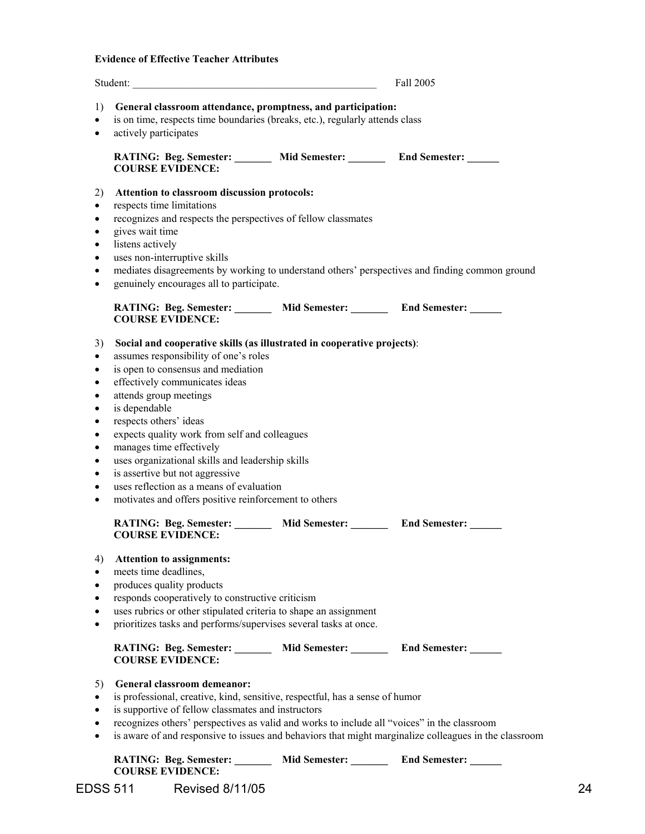# **Evidence of Effective Teacher Attributes**

|                                                                                                                                                                | Student:                                                                                                                                                                                                                                                                                                                                                                                                                                                                                                                                                                                               |                      | Fall 2005            |
|----------------------------------------------------------------------------------------------------------------------------------------------------------------|--------------------------------------------------------------------------------------------------------------------------------------------------------------------------------------------------------------------------------------------------------------------------------------------------------------------------------------------------------------------------------------------------------------------------------------------------------------------------------------------------------------------------------------------------------------------------------------------------------|----------------------|----------------------|
| 1)<br>$\bullet$<br>$\bullet$                                                                                                                                   | General classroom attendance, promptness, and participation:<br>is on time, respects time boundaries (breaks, etc.), regularly attends class<br>actively participates                                                                                                                                                                                                                                                                                                                                                                                                                                  |                      |                      |
|                                                                                                                                                                | RATING: Beg. Semester: Mid Semester: End Semester: Mid Semester:<br><b>COURSE EVIDENCE:</b>                                                                                                                                                                                                                                                                                                                                                                                                                                                                                                            |                      |                      |
| 2)<br>$\bullet$<br>$\bullet$<br>$\bullet$<br>$\bullet$<br>$\bullet$<br>$\bullet$<br>$\bullet$                                                                  | Attention to classroom discussion protocols:<br>respects time limitations<br>recognizes and respects the perspectives of fellow classmates<br>gives wait time<br>listens actively<br>uses non-interruptive skills<br>mediates disagreements by working to understand others' perspectives and finding common ground<br>genuinely encourages all to participate.                                                                                                                                                                                                                                        |                      |                      |
|                                                                                                                                                                | RATING: Beg. Semester: Mid Semester: End Semester: Mid Semester:<br><b>COURSE EVIDENCE:</b>                                                                                                                                                                                                                                                                                                                                                                                                                                                                                                            |                      |                      |
| 3)<br>$\bullet$<br>$\bullet$<br>$\bullet$<br>$\bullet$<br>$\bullet$<br>$\bullet$<br>$\bullet$<br>$\bullet$<br>$\bullet$<br>$\bullet$<br>$\bullet$<br>$\bullet$ | Social and cooperative skills (as illustrated in cooperative projects):<br>assumes responsibility of one's roles<br>is open to consensus and mediation<br>effectively communicates ideas<br>attends group meetings<br>is dependable<br>respects others' ideas<br>expects quality work from self and colleagues<br>manages time effectively<br>uses organizational skills and leadership skills<br>is assertive but not aggressive<br>uses reflection as a means of evaluation<br>motivates and offers positive reinforcement to others<br>RATING: Beg. Semester: Mid Semester: End Semester: _________ |                      |                      |
| 4)<br>$\bullet$<br>$\bullet$<br>٠<br>$\bullet$<br>$\bullet$                                                                                                    | <b>COURSE EVIDENCE:</b><br><b>Attention to assignments:</b><br>meets time deadlines,<br>produces quality products<br>responds cooperatively to constructive criticism<br>uses rubrics or other stipulated criteria to shape an assignment<br>prioritizes tasks and performs/supervises several tasks at once.                                                                                                                                                                                                                                                                                          |                      |                      |
|                                                                                                                                                                | RATING: Beg. Semester: _________ Mid Semester: ________ End Semester: ______<br><b>COURSE EVIDENCE:</b>                                                                                                                                                                                                                                                                                                                                                                                                                                                                                                |                      |                      |
| 5)<br>$\bullet$<br>$\bullet$<br>٠<br>$\bullet$                                                                                                                 | General classroom demeanor:<br>is professional, creative, kind, sensitive, respectful, has a sense of humor<br>is supportive of fellow classmates and instructors<br>recognizes others' perspectives as valid and works to include all "voices" in the classroom<br>is aware of and responsive to issues and behaviors that might marginalize colleagues in the classroom                                                                                                                                                                                                                              |                      |                      |
|                                                                                                                                                                | <b>RATING: Beg. Semester:</b>                                                                                                                                                                                                                                                                                                                                                                                                                                                                                                                                                                          | <b>Mid Semester:</b> | <b>End Semester:</b> |

EDSS 511 Revised 8/11/05 24 **COURSE EVIDENCE:**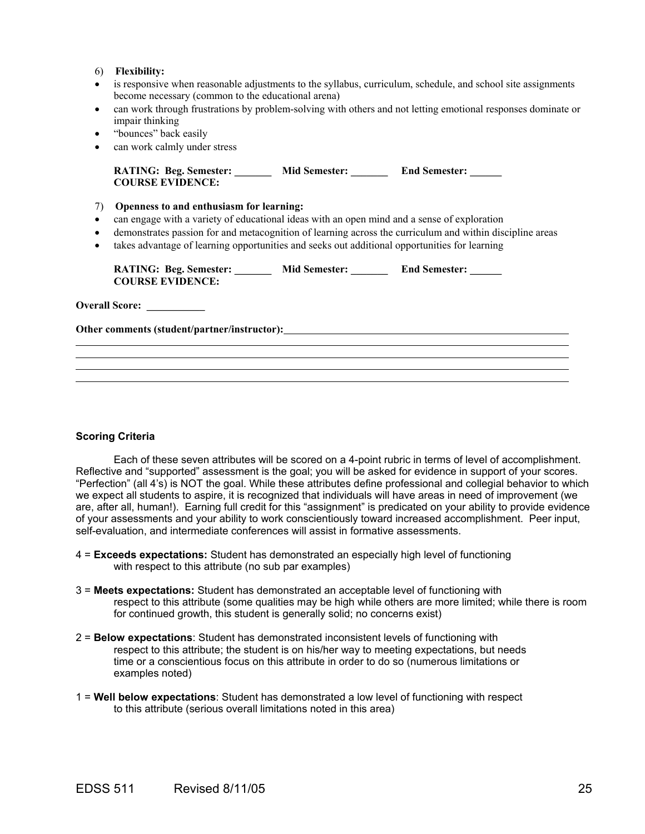### 6) **Flexibility:**

- is responsive when reasonable adjustments to the syllabus, curriculum, schedule, and school site assignments become necessary (common to the educational arena)
- can work through frustrations by problem-solving with others and not letting emotional responses dominate or impair thinking
- "bounces" back easily
- can work calmly under stress

| <b>RATING: Beg. Semester:</b> | <b>Mid Semester:</b> | <b>End Semester:</b> |
|-------------------------------|----------------------|----------------------|
| <b>COURSE EVIDENCE:</b>       |                      |                      |

- 7) **Openness to and enthusiasm for learning:**
- can engage with a variety of educational ideas with an open mind and a sense of exploration
- demonstrates passion for and metacognition of learning across the curriculum and within discipline areas
- takes advantage of learning opportunities and seeks out additional opportunities for learning

| <b>RATING: Beg. Semester:</b> | <b>Mid Semester:</b> | <b>End Semester:</b> |
|-------------------------------|----------------------|----------------------|
| <b>COURSE EVIDENCE:</b>       |                      |                      |

**Overall Score:**  $\qquad \qquad$ 

l

**Other comments (student/partner/instructor):**

**Scoring Criteria** 

Each of these seven attributes will be scored on a 4-point rubric in terms of level of accomplishment. Reflective and "supported" assessment is the goal; you will be asked for evidence in support of your scores. "Perfection" (all 4's) is NOT the goal. While these attributes define professional and collegial behavior to which we expect all students to aspire, it is recognized that individuals will have areas in need of improvement (we are, after all, human!). Earning full credit for this "assignment" is predicated on your ability to provide evidence of your assessments and your ability to work conscientiously toward increased accomplishment. Peer input, self-evaluation, and intermediate conferences will assist in formative assessments.

- 4 = **Exceeds expectations:** Student has demonstrated an especially high level of functioning with respect to this attribute (no sub par examples)
- 3 = **Meets expectations:** Student has demonstrated an acceptable level of functioning with respect to this attribute (some qualities may be high while others are more limited; while there is room for continued growth, this student is generally solid; no concerns exist)
- 2 = **Below expectations**: Student has demonstrated inconsistent levels of functioning with respect to this attribute; the student is on his/her way to meeting expectations, but needs time or a conscientious focus on this attribute in order to do so (numerous limitations or examples noted)
- 1 = **Well below expectations**: Student has demonstrated a low level of functioning with respect to this attribute (serious overall limitations noted in this area)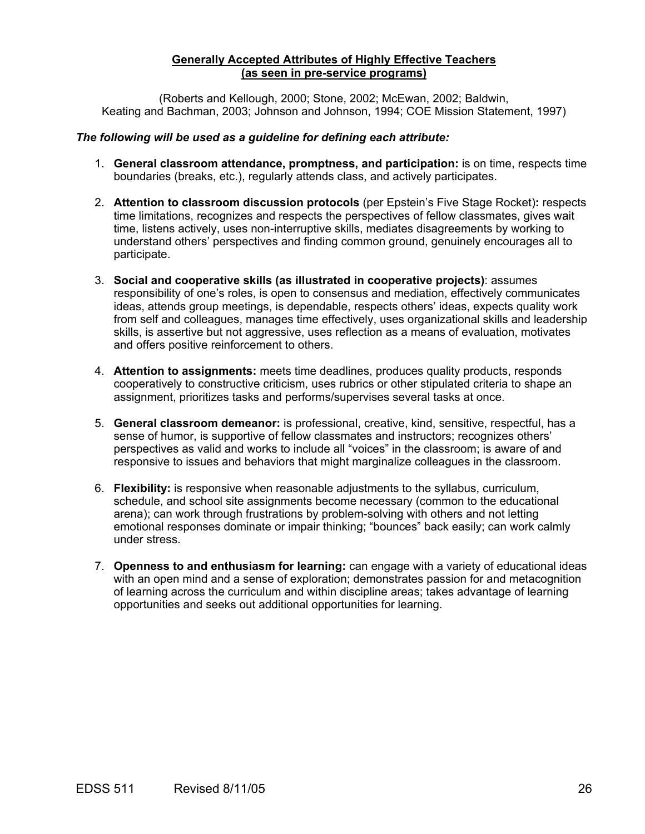# **Generally Accepted Attributes of Highly Effective Teachers (as seen in pre-service programs)**

(Roberts and Kellough, 2000; Stone, 2002; McEwan, 2002; Baldwin, Keating and Bachman, 2003; Johnson and Johnson, 1994; COE Mission Statement, 1997)

# *The following will be used as a guideline for defining each attribute:*

- 1. **General classroom attendance, promptness, and participation:** is on time, respects time boundaries (breaks, etc.), regularly attends class, and actively participates.
- 2. **Attention to classroom discussion protocols** (per Epstein's Five Stage Rocket)**:** respects time limitations, recognizes and respects the perspectives of fellow classmates, gives wait time, listens actively, uses non-interruptive skills, mediates disagreements by working to understand others' perspectives and finding common ground, genuinely encourages all to participate.
- 3. **Social and cooperative skills (as illustrated in cooperative projects)**: assumes responsibility of one's roles, is open to consensus and mediation, effectively communicates ideas, attends group meetings, is dependable, respects others' ideas, expects quality work from self and colleagues, manages time effectively, uses organizational skills and leadership skills, is assertive but not aggressive, uses reflection as a means of evaluation, motivates and offers positive reinforcement to others.
- 4. **Attention to assignments:** meets time deadlines, produces quality products, responds cooperatively to constructive criticism, uses rubrics or other stipulated criteria to shape an assignment, prioritizes tasks and performs/supervises several tasks at once.
- 5. **General classroom demeanor:** is professional, creative, kind, sensitive, respectful, has a sense of humor, is supportive of fellow classmates and instructors; recognizes others' perspectives as valid and works to include all "voices" in the classroom; is aware of and responsive to issues and behaviors that might marginalize colleagues in the classroom.
- 6. **Flexibility:** is responsive when reasonable adjustments to the syllabus, curriculum, schedule, and school site assignments become necessary (common to the educational arena); can work through frustrations by problem-solving with others and not letting emotional responses dominate or impair thinking; "bounces" back easily; can work calmly under stress.
- 7. **Openness to and enthusiasm for learning:** can engage with a variety of educational ideas with an open mind and a sense of exploration; demonstrates passion for and metacognition of learning across the curriculum and within discipline areas; takes advantage of learning opportunities and seeks out additional opportunities for learning.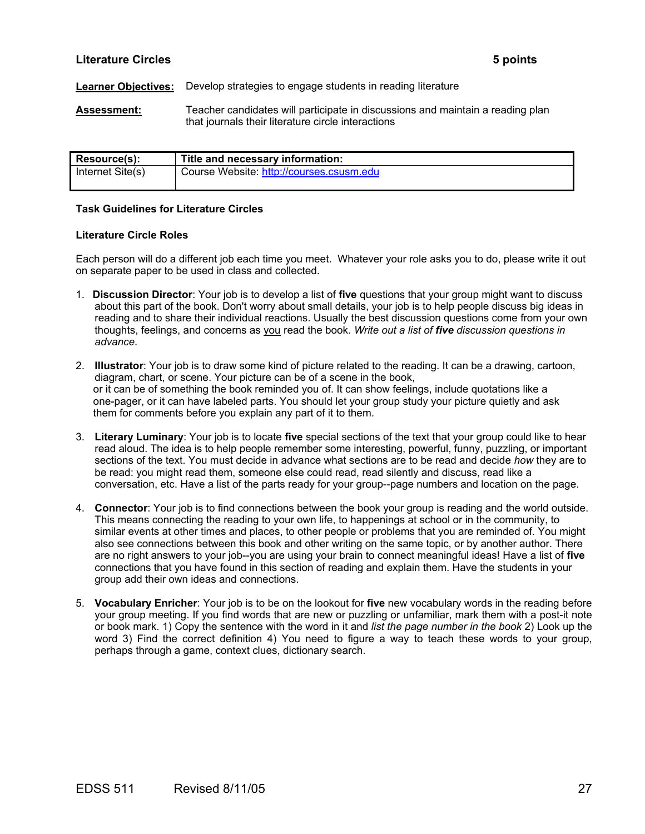# **Literature Circles 5 points**

### **Learner Objectives:** Develop strategies to engage students in reading literature

**Assessment:** Teacher candidates will participate in discussions and maintain a reading plan that journals their literature circle interactions

| Resource(s):     | Title and necessary information:         |
|------------------|------------------------------------------|
| Internet Site(s) | Course Website: http://courses.csusm.edu |

### **Task Guidelines for Literature Circles**

### **Literature Circle Roles**

Each person will do a different job each time you meet. Whatever your role asks you to do, please write it out on separate paper to be used in class and collected.

- 1. **Discussion Director**: Your job is to develop a list of **five** questions that your group might want to discuss about this part of the book. Don't worry about small details, your job is to help people discuss big ideas in reading and to share their individual reactions. Usually the best discussion questions come from your own thoughts, feelings, and concerns as you read the book. *Write out a list of five discussion questions in advance.*
- 2. **Illustrator**: Your job is to draw some kind of picture related to the reading. It can be a drawing, cartoon, diagram, chart, or scene. Your picture can be of a scene in the book, or it can be of something the book reminded you of. It can show feelings, include quotations like a one-pager, or it can have labeled parts. You should let your group study your picture quietly and ask them for comments before you explain any part of it to them.
- 3. **Literary Luminary**: Your job is to locate **five** special sections of the text that your group could like to hear read aloud. The idea is to help people remember some interesting, powerful, funny, puzzling, or important sections of the text. You must decide in advance what sections are to be read and decide *how* they are to be read: you might read them, someone else could read, read silently and discuss, read like a conversation, etc. Have a list of the parts ready for your group--page numbers and location on the page.
- 4. **Connector**: Your job is to find connections between the book your group is reading and the world outside. This means connecting the reading to your own life, to happenings at school or in the community, to similar events at other times and places, to other people or problems that you are reminded of. You might also see connections between this book and other writing on the same topic, or by another author. There are no right answers to your job--you are using your brain to connect meaningful ideas! Have a list of **five**  connections that you have found in this section of reading and explain them. Have the students in your group add their own ideas and connections.
- 5. **Vocabulary Enricher**: Your job is to be on the lookout for **five** new vocabulary words in the reading before your group meeting. If you find words that are new or puzzling or unfamiliar, mark them with a post-it note or book mark. 1) Copy the sentence with the word in it and *list the page number in the book* 2) Look up the word 3) Find the correct definition 4) You need to figure a way to teach these words to your group, perhaps through a game, context clues, dictionary search.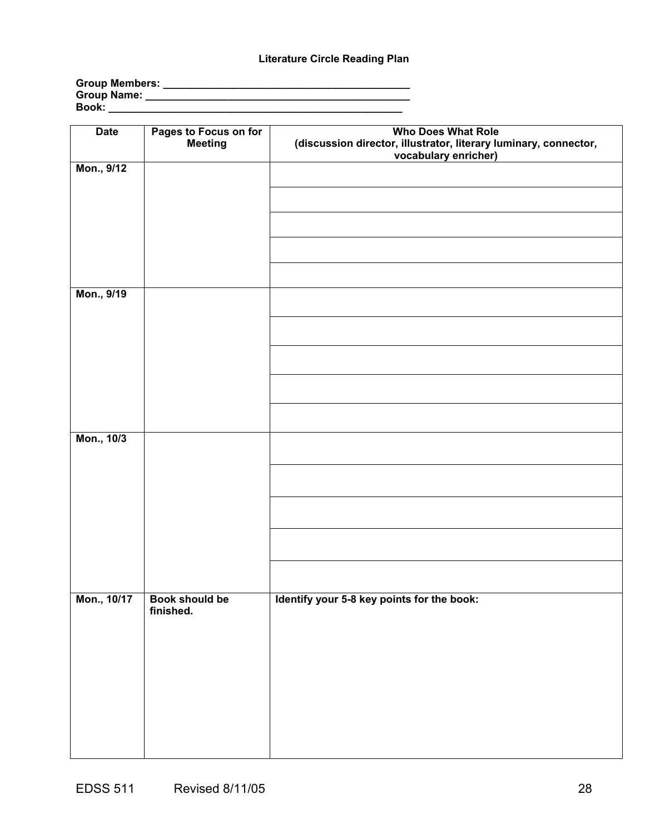# **Literature Circle Reading Plan**

| <b>Group Members:</b> |  |
|-----------------------|--|
| Group Name:           |  |
| Book:                 |  |

| <b>Date</b> | Pages to Focus on for<br>Meeting | <b>Who Does What Role</b><br>(discussion director, illustrator, literary luminary, connector,<br>vocabulary enricher) |
|-------------|----------------------------------|-----------------------------------------------------------------------------------------------------------------------|
| Mon., 9/12  |                                  |                                                                                                                       |
|             |                                  |                                                                                                                       |
|             |                                  |                                                                                                                       |
|             |                                  |                                                                                                                       |
|             |                                  |                                                                                                                       |
| Mon., 9/19  |                                  |                                                                                                                       |
|             |                                  |                                                                                                                       |
|             |                                  |                                                                                                                       |
|             |                                  |                                                                                                                       |
|             |                                  |                                                                                                                       |
|             |                                  |                                                                                                                       |
| Mon., 10/3  |                                  |                                                                                                                       |
|             |                                  |                                                                                                                       |
|             |                                  |                                                                                                                       |
|             |                                  |                                                                                                                       |
|             |                                  |                                                                                                                       |
|             |                                  |                                                                                                                       |
| Mon., 10/17 | Book should be                   | Identify your 5-8 key points for the book:                                                                            |
|             | finished.                        |                                                                                                                       |
|             |                                  |                                                                                                                       |
|             |                                  |                                                                                                                       |
|             |                                  |                                                                                                                       |
|             |                                  |                                                                                                                       |
|             |                                  |                                                                                                                       |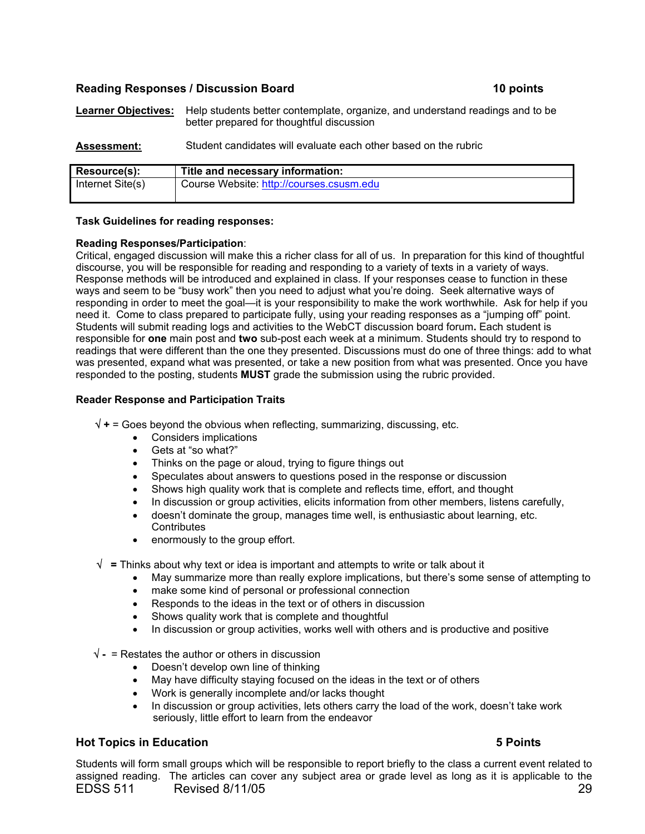# **Reading Responses / Discussion Board 10 points**

**Learner Objectives:** Help students better contemplate, organize, and understand readings and to be better prepared for thoughtful discussion

**Assessment:** Student candidates will evaluate each other based on the rubric

| Resource(s):     | Title and necessary information:         |
|------------------|------------------------------------------|
| Internet Site(s) | Course Website: http://courses.csusm.edu |
|                  |                                          |

### **Task Guidelines for reading responses:**

### **Reading Responses/Participation**:

Critical, engaged discussion will make this a richer class for all of us. In preparation for this kind of thoughtful discourse, you will be responsible for reading and responding to a variety of texts in a variety of ways. Response methods will be introduced and explained in class. If your responses cease to function in these ways and seem to be "busy work" then you need to adjust what you're doing. Seek alternative ways of responding in order to meet the goal—it is your responsibility to make the work worthwhile. Ask for help if you need it. Come to class prepared to participate fully, using your reading responses as a "jumping off" point. Students will submit reading logs and activities to the WebCT discussion board forum**.** Each student is responsible for **one** main post and **two** sub-post each week at a minimum. Students should try to respond to readings that were different than the one they presented. Discussions must do one of three things: add to what was presented, expand what was presented, or take a new position from what was presented. Once you have responded to the posting, students **MUST** grade the submission using the rubric provided.

### **Reader Response and Participation Traits**

√ **+** = Goes beyond the obvious when reflecting, summarizing, discussing, etc.

- Considers implications
- Gets at "so what?"
- Thinks on the page or aloud, trying to figure things out
- Speculates about answers to questions posed in the response or discussion
- Shows high quality work that is complete and reflects time, effort, and thought
- In discussion or group activities, elicits information from other members, listens carefully,
- doesn't dominate the group, manages time well, is enthusiastic about learning, etc. **Contributes**
- enormously to the group effort.
- √ **=** Thinks about why text or idea is important and attempts to write or talk about it
	- May summarize more than really explore implications, but there's some sense of attempting to
	- make some kind of personal or professional connection
	- Responds to the ideas in the text or of others in discussion
	- Shows quality work that is complete and thoughtful
	- In discussion or group activities, works well with others and is productive and positive
- √ **-** = Restates the author or others in discussion
	- Doesn't develop own line of thinking
	- May have difficulty staying focused on the ideas in the text or of others
	- Work is generally incomplete and/or lacks thought
	- In discussion or group activities, lets others carry the load of the work, doesn't take work seriously, little effort to learn from the endeavor

# **Hot Topics in Education 5 Points**

EDSS 511 Revised 8/11/05 29 Students will form small groups which will be responsible to report briefly to the class a current event related to assigned reading. The articles can cover any subject area or grade level as long as it is applicable to the